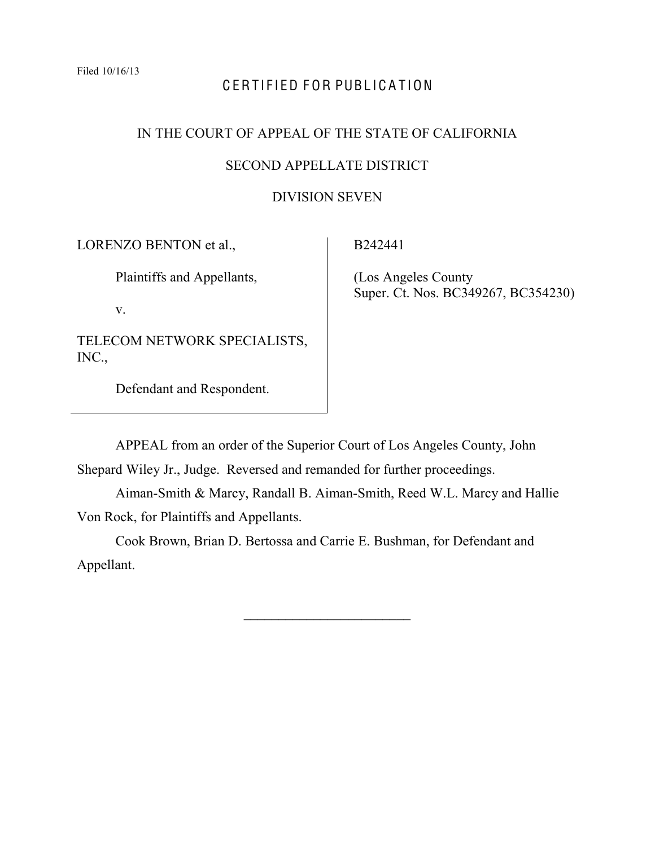# CERTIFIED FOR PUBLICATION

### IN THE COURT OF APPEAL OF THE STATE OF CALIFORNIA

## SECOND APPELLATE DISTRICT

### DIVISION SEVEN

LORENZO BENTON et al.,

Plaintiffs and Appellants,

v.

TELECOM NETWORK SPECIALISTS, INC.,

Defendant and Respondent.

B242441

 (Los Angeles County Super. Ct. Nos. BC349267, BC354230)

APPEAL from an order of the Superior Court of Los Angeles County, John Shepard Wiley Jr., Judge. Reversed and remanded for further proceedings.

Aiman-Smith & Marcy, Randall B. Aiman-Smith, Reed W.L. Marcy and Hallie

Von Rock, for Plaintiffs and Appellants.

Cook Brown, Brian D. Bertossa and Carrie E. Bushman, for Defendant and Appellant.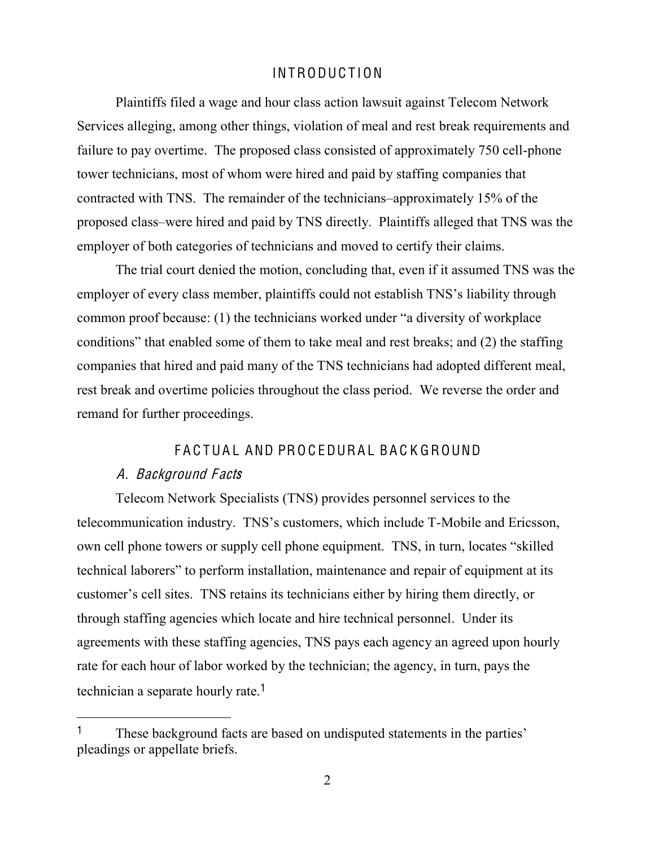# **INTRODUCTION**

Plaintiffs filed a wage and hour class action lawsuit against Telecom Network Services alleging, among other things, violation of meal and rest break requirements and failure to pay overtime. The proposed class consisted of approximately 750 cell-phone tower technicians, most of whom were hired and paid by staffing companies that contracted with TNS. The remainder of the technicians-approximately 15% of the proposed class—were hired and paid by TNS directly. Plaintiffs alleged that TNS was the employer of both categories of technicians and moved to certify their claims.

The trial court denied the motion, concluding that, even if it assumed TNS was the employer of every class member, plaintiffs could not establish TNS's liability through common proof because: (1) the technicians worked under "a diversity of workplace conditions" that enabled some of them to take meal and rest breaks; and  $(2)$  the staffing companies that hired and paid many of the TNS technicians had adopted different meal, rest break and overtime policies throughout the class period. We reverse the order and remand for further proceedings.

## FACTUAL AND PROCEDURAL BACKGROUND

### A. Background Facts

Telecom Network Specialists (TNS) provides personnel services to the telecommunication industry. TNS's customers, which include T-Mobile and Ericsson, own cell phone towers or supply cell phone equipment. TNS, in turn, locates "skilled" technical laborers" to perform installation, maintenance and repair of equipment at its customer's cell sites. TNS retains its technicians either by hiring them directly, or through staffing agencies which locate and hire technical personnel. Under its agreements with these staffing agencies, TNS pays each agency an agreed upon hourly rate for each hour of labor worked by the technician; the agency, in turn, pays the technician a separate hourly rate.<sup>1</sup>

<sup>&</sup>lt;sup>1</sup> These background facts are based on undisputed statements in the parties' pleadings or appellate briefs.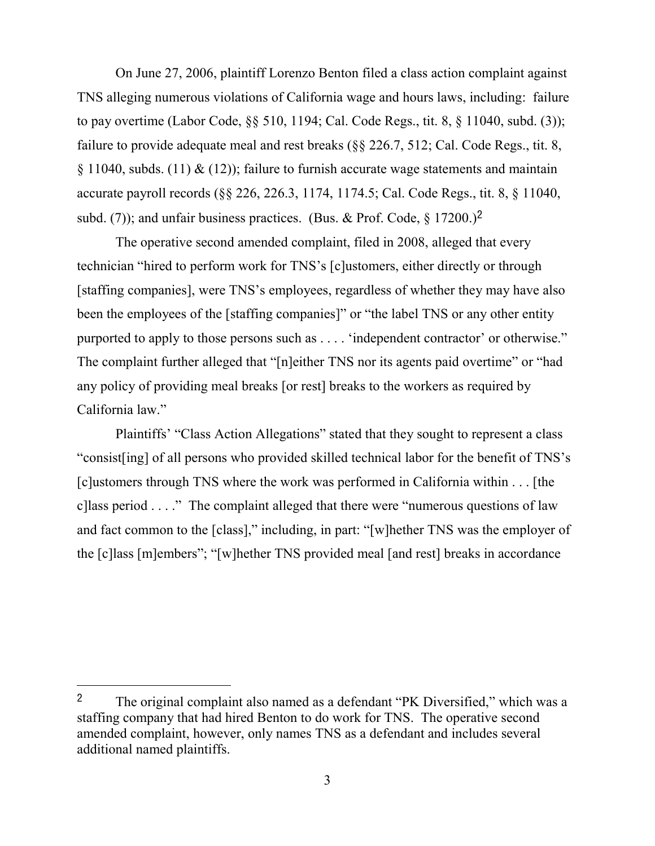On June 27, 2006, plaintiff Lorenzo Benton filed a class action complaint against TNS alleging numerous violations of California wage and hours laws, including: failure to pay overtime (Labor Code, §§ 510, 1194; Cal. Code Regs., tit. 8, § 11040, subd. (3)); failure to provide adequate meal and rest breaks (§§ 226.7, 512; Cal. Code Regs., tit. 8, § 11040, subds. (11)  $\&$  (12)); failure to furnish accurate wage statements and maintain accurate payroll records (§§ 226, 226.3, 1174, 1174.5; Cal. Code Regs., tit. 8, § 11040, subd. (7)); and unfair business practices. (Bus. & Prof. Code,  $\S$  17200.)<sup>2</sup>

The operative second amended complaint, filed in 2008, alleged that every technician "hired to perform work for TNS's [c]ustomers, either directly or through [staffing companies], were TNS's employees, regardless of whether they may have also been the employees of the [staffing companies]" or "the label TNS or any other entity purported to apply to those persons such as . . . . 'independent contractor' or otherwise." The complaint further alleged that "[n]either TNS nor its agents paid overtime" or "had any policy of providing meal breaks [or rest] breaks to the workers as required by California law."

Plaintiffs' "Class Action Allegations" stated that they sought to represent a class "consist [ing] of all persons who provided skilled technical labor for the benefit of TNS's [c]ustomers through TNS where the work was performed in California within . . . [the cllass period  $\ldots$ ." The complaint alleged that there were "numerous questions of law and fact common to the [class]," including, in part: "[w]hether TNS was the employer of the [c]lass [m]embers"; "[w]hether TNS provided meal [and rest] breaks in accordance

<sup>&</sup>lt;sup>2</sup> The original complaint also named as a defendant "PK Diversified," which was a staffing company that had hired Benton to do work for TNS. The operative second amended complaint, however, only names TNS as a defendant and includes several additional named plaintiffs.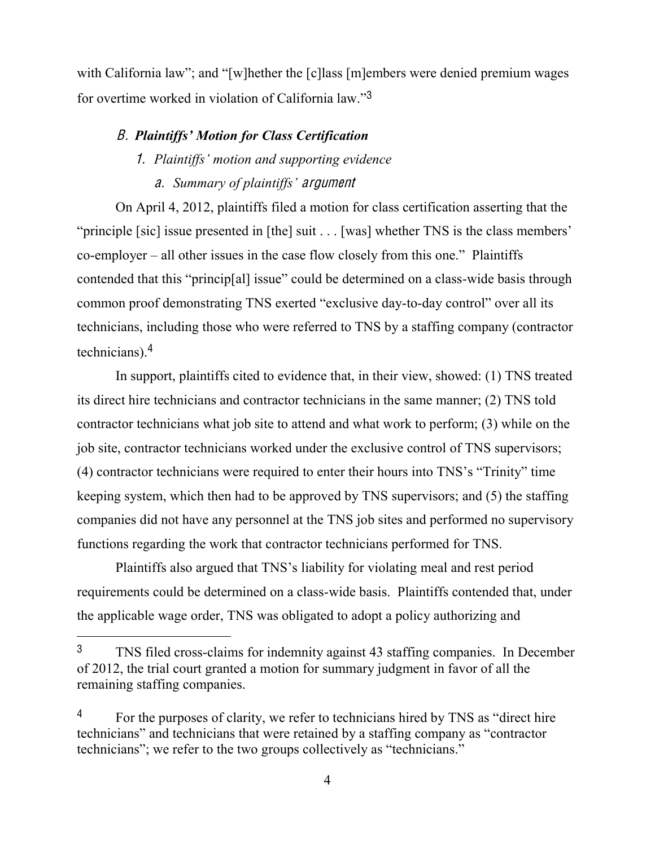with California law"; and "[w]hether the [c]lass [m]embers were denied premium wages for overtime worked in violation of California law."3

# **B.** Plaintiffs' Motion for Class Certification

# 1. Plaintiffs' motion and supporting evidence

a. Summary of plaintiffs' argument

On April 4, 2012, plaintiffs filed a motion for class certification asserting that the "principle [sic] issue presented in [the] suit  $\ldots$  [was] whether TNS is the class members'  $co-employer - all other issues in the case flow closely from this one.$ " Plaintiffs contended that this "princip[al] issue" could be determined on a class-wide basis through common proof demonstrating TNS exerted "exclusive day-to-day control" over all its technicians, including those who were referred to TNS by a staffing company (contractor technicians).<sup>4</sup>

In support, plaintiffs cited to evidence that, in their view, showed: (1) TNS treated its direct hire technicians and contractor technicians in the same manner; (2) TNS told contractor technicians what job site to attend and what work to perform; (3) while on the job site, contractor technicians worked under the exclusive control of TNS supervisors;  $F(A)$  contractor technicians were required to enter their hours into TNS's "Trinity" time keeping system, which then had to be approved by TNS supervisors; and (5) the staffing companies did not have any personnel at the TNS job sites and performed no supervisory functions regarding the work that contractor technicians performed for TNS.

Plaintiffs also argued that TNS's liability for violating meal and rest period requirements could be determined on a class-wide basis. Plaintiffs contended that, under the applicable wage order, TNS was obligated to adopt a policy authorizing and

<sup>3</sup> TNS filed cross-claims for indemnity against 43 staffing companies. In December of 2012, the trial court granted a motion for summary judgment in favor of all the remaining staffing companies.

For the purposes of clarity, we refer to technicians hired by TNS as "direct hire technicians" and technicians that were retained by a staffing company as "contractor" technicians"; we refer to the two groups collectively as "technicians."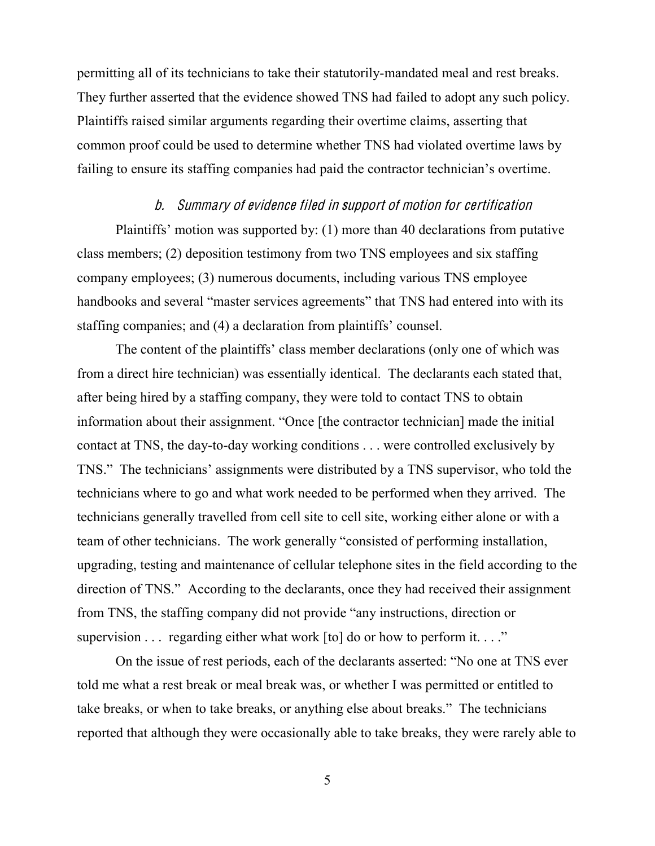permitting all of its technicians to take their statutorily-mandated meal and rest breaks. They further asserted that the evidence showed TNS had failed to adopt any such policy. Plaintiffs raised similar arguments regarding their overtime claims, asserting that common proof could be used to determine whether TNS had violated overtime laws by failing to ensure its staffing companies had paid the contractor technician's overtime.

#### b. Summary <sup>o</sup>f <sup>e</sup>vidence filed in <sup>s</sup>upport <sup>o</sup>f motion for certification

Plaintiffs' motion was supported by: (1) more than 40 declarations from putative class members; (2) deposition testimony from two TNS employees and six staffing company employees; (3) numerous documents, including various TNS employee handbooks and several "master services agreements" that TNS had entered into with its staffing companies; and (4) a declaration from plaintiffs' counsel.

The content of the plaintiffs' class member declarations (only one of which was from a direct hire technician) was essentially identical. The declarants each stated that, after being hired by a staffing company, they were told to contact TNS to obtain information about their assignment. "Once [the contractor technician] made the initial contact at TNS, the day-to-day working conditions . . . were controlled exclusively by TNS." The technicians' assignments were distributed by a TNS supervisor, who told the technicians where to go and what work needed to be performed when they arrived. The technicians generally travelled from cell site to cell site, working either alone or with a team of other technicians. The work generally "consisted of performing installation, upgrading, testing and maintenance of cellular telephone sites in the field according to the direction of TNS." According to the declarants, once they had received their assignment from TNS, the staffing company did not provide "any instructions, direction or supervision  $\ldots$  regarding either what work [to] do or how to perform it.  $\ldots$ "

On the issue of rest periods, each of the declarants asserted: "No one at TNS ever told me what a rest break or meal break was, or whether I was permitted or entitled to take breaks, or when to take breaks, or anything else about breaks." The technicians reported that although they were occasionally able to take breaks, they were rarely able to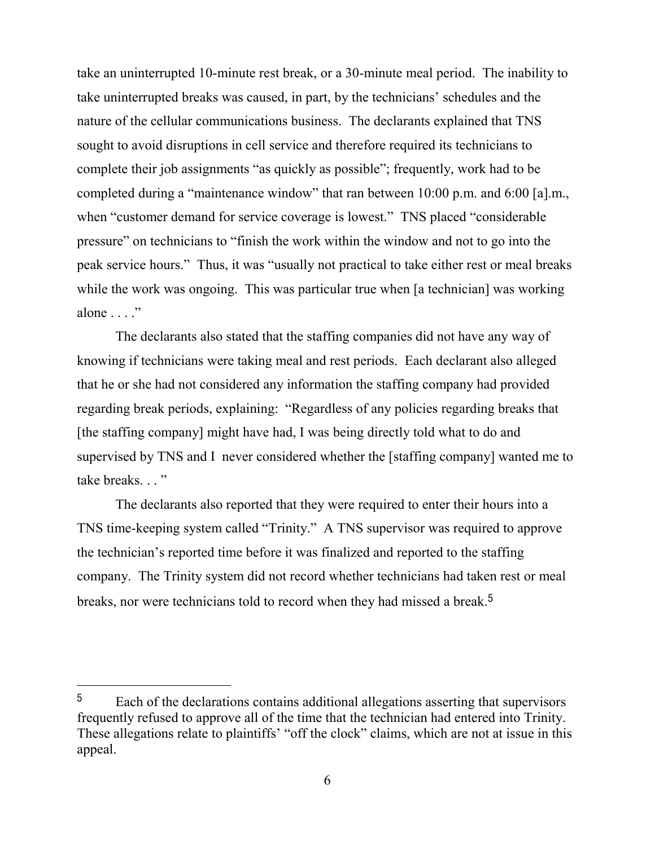take an uninterrupted 10-minute rest break, or a 30-minute meal period. The inability to take uninterrupted breaks was caused, in part, by the technicians' schedules and the nature of the cellular communications business. The declarants explained that TNS sought to avoid disruptions in cell service and therefore required its technicians to complete their job assignments "as quickly as possible"; frequently, work had to be completed during a "maintenance window" that ran between  $10:00$  p.m. and  $6:00$  [a].m., when "customer demand for service coverage is lowest." TNS placed "considerable" pressure" on technicians to "finish the work within the window and not to go into the peak service hours." Thus, it was "usually not practical to take either rest or meal breaks while the work was ongoing. This was particular true when [a technician] was working alone  $\ldots$ .

The declarants also stated that the staffing companies did not have any way of knowing if technicians were taking meal and rest periods. Each declarant also alleged that he or she had not considered any information the staffing company had provided regarding break periods, explaining: "Regardless of any policies regarding breaks that [the staffing company] might have had, I was being directly told what to do and supervised by TNS and I never considered whether the [staffing company] wanted me to take breaks..."

The declarants also reported that they were required to enter their hours into a TNS time-keeping system called "Trinity." A TNS supervisor was required to approve the technician's reported time before it was finalized and reported to the staffing company. The Trinity system did not record whether technicians had taken rest or meal breaks, nor were technicians told to record when they had missed a break.<sup>5</sup>

<sup>&</sup>lt;sup>5</sup> Each of the declarations contains additional allegations asserting that supervisors frequently refused to approve all of the time that the technician had entered into Trinity. These allegations relate to plaintiffs' "off the clock" claims, which are not at issue in this appeal.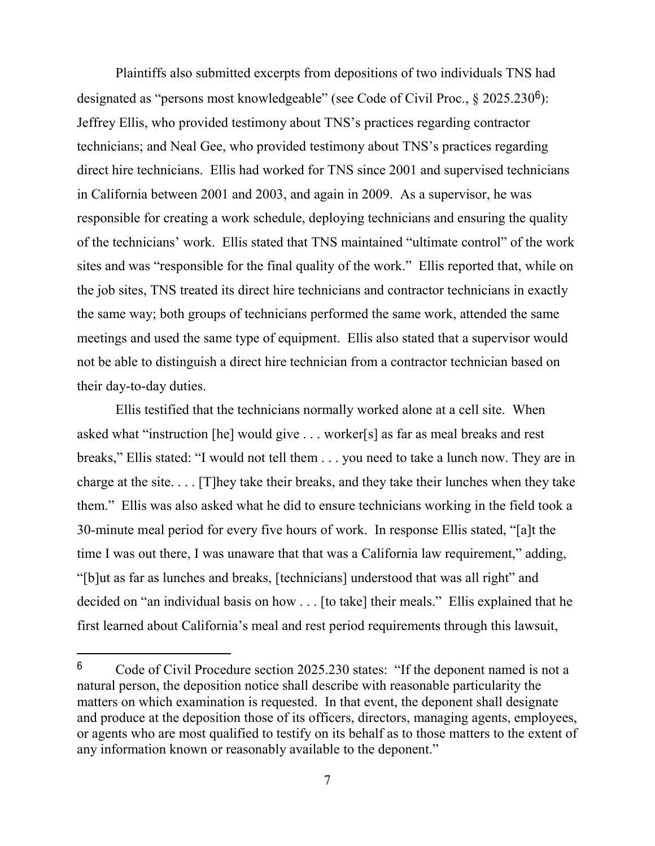Plaintiffs also submitted excerpts from depositions of two individuals TNS had designated as "persons most knowledgeable" (see Code of Civil Proc.,  $\S$  2025.230<sup>6</sup>): Jeffrey Ellis, who provided testimony about TNS's practices regarding contractor technicians; and Neal Gee, who provided testimony about TNS's practices regarding direct hire technicians. Ellis had worked for TNS since 2001 and supervised technicians in California between 2001 and 2003, and again in 2009. As a supervisor, he was responsible for creating a work schedule, deploying technicians and ensuring the quality of the technicians' work. Ellis stated that TNS maintained "ultimate control" of the work sites and was "responsible for the final quality of the work." Ellis reported that, while on the job sites, TNS treated its direct hire technicians and contractor technicians in exactly the same way; both groups of technicians performed the same work, attended the same meetings and used the same type of equipment. Ellis also stated that a supervisor would not be able to distinguish a direct hire technician from a contractor technician based on their day-to-day duties.

Ellis testified that the technicians normally worked alone at a cell site. When asked what "instruction [he] would give  $\ldots$  worker[s] as far as meal breaks and rest breaks," Ellis stated: "I would not tell them . . . you need to take a lunch now. They are in charge at the site. . . . [T]hey take their breaks, and they take their lunches when they take them." Ellis was also asked what he did to ensure technicians working in the field took a 30-minute meal period for every five hours of work. In response Ellis stated, "[a]t the time I was out there, I was unaware that that was a California law requirement," adding, "[b]ut as far as lunches and breaks, [technicians] understood that was all right" and decided on "an individual basis on how  $\ldots$  [to take] their meals." Ellis explained that he first learned about California's meal and rest period requirements through this lawsuit,

 $6$  Code of Civil Procedure section 2025.230 states: "If the deponent named is not a natural person, the deposition notice shall describe with reasonable particularity the matters on which examination is requested. In that event, the deponent shall designate and produce at the deposition those of its officers, directors, managing agents, employees, or agents who are most qualified to testify on its behalf as to those matters to the extent of any information known or reasonably available to the deponent."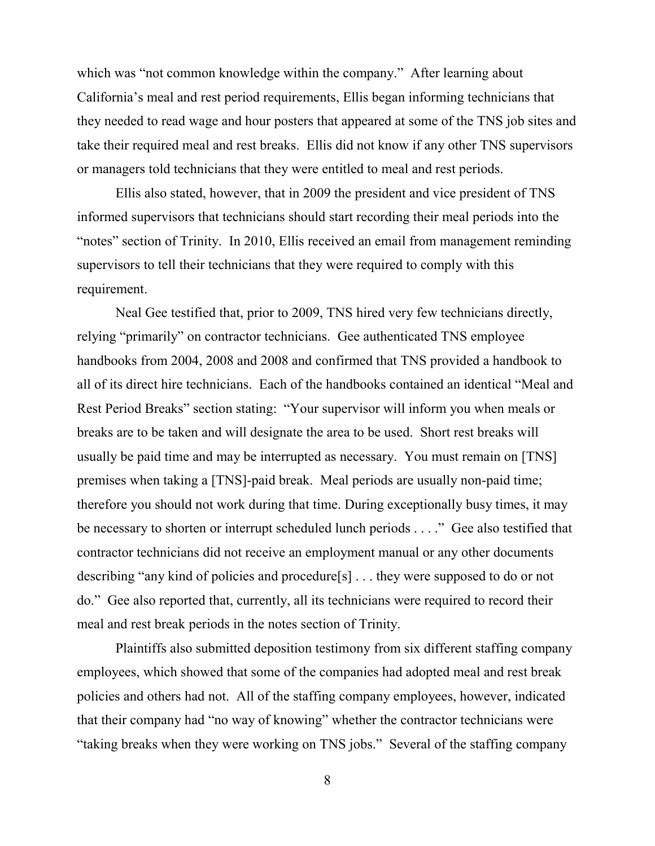which was "not common knowledge within the company." After learning about California's meal and rest period requirements, Ellis began informing technicians that they needed to read wage and hour posters that appeared at some of the TNS job sites and take their required meal and rest breaks. Ellis did not know if any other TNS supervisors or managers told technicians that they were entitled to meal and rest periods.

Ellis also stated, however, that in 2009 the president and vice president of TNS informed supervisors that technicians should start recording their meal periods into the "notes" section of Trinity. In 2010, Ellis received an email from management reminding supervisors to tell their technicians that they were required to comply with this requirement.

Neal Gee testified that, prior to 2009, TNS hired very few technicians directly, relying "primarily" on contractor technicians. Gee authenticated TNS employee handbooks from 2004, 2008 and 2008 and confirmed that TNS provided a handbook to all of its direct hire technicians. Each of the handbooks contained an identical "Meal and Rest Period Breaks" section stating: "Your supervisor will inform you when meals or breaks are to be taken and will designate the area to be used. Short rest breaks will usually be paid time and may be interrupted as necessary. You must remain on [TNS] premises when taking a [TNS]-paid break. Meal periods are usually non-paid time; therefore you should not work during that time. During exceptionally busy times, it may be necessary to shorten or interrupt scheduled lunch periods  $\dots$ ." Gee also testified that contractor technicians did not receive an employment manual or any other documents describing "any kind of policies and procedure [s]  $\ldots$  they were supposed to do or not do." Gee also reported that, currently, all its technicians were required to record their meal and rest break periods in the notes section of Trinity.

Plaintiffs also submitted deposition testimony from six different staffing company employees, which showed that some of the companies had adopted meal and rest break policies and others had not. All of the staffing company employees, however, indicated that their company had "no way of knowing" whether the contractor technicians were "taking breaks when they were working on TNS jobs." Several of the staffing company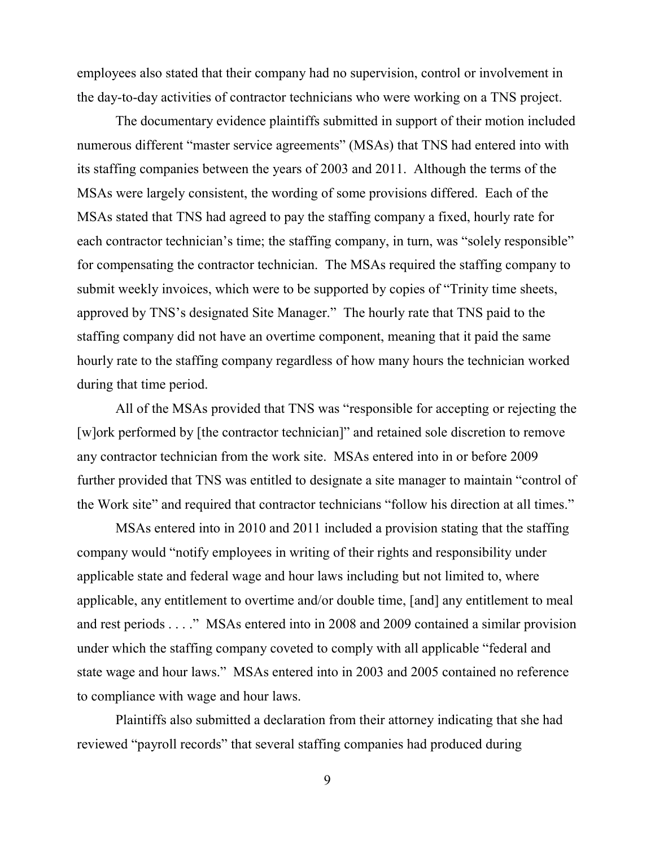employees also stated that their company had no supervision, control or involvement in the day-to-day activities of contractor technicians who were working on a TNS project.

The documentary evidence plaintiffs submitted in support of their motion included numerous different "master service agreements" (MSAs) that TNS had entered into with its staffing companies between the years of 2003 and 2011. Although the terms of the MSAs were largely consistent, the wording of some provisions differed. Each of the MSAs stated that TNS had agreed to pay the staffing company a fixed, hourly rate for each contractor technician's time; the staffing company, in turn, was "solely responsible" for compensating the contractor technician. The MSAs required the staffing company to submit weekly invoices, which were to be supported by copies of "Trinity time sheets, approved by TNS's designated Site Manager." The hourly rate that TNS paid to the staffing company did not have an overtime component, meaning that it paid the same hourly rate to the staffing company regardless of how many hours the technician worked during that time period.

All of the MSAs provided that TNS was "responsible for accepting or rejecting the [w]ork performed by [the contractor technician]" and retained sole discretion to remove any contractor technician from the work site. MSAs entered into in or before 2009 further provided that TNS was entitled to designate a site manager to maintain "control of the Work site" and required that contractor technicians "follow his direction at all times."

MSAs entered into in 2010 and 2011 included a provision stating that the staffing company would "notify employees in writing of their rights and responsibility under applicable state and federal wage and hour laws including but not limited to, where applicable, any entitlement to overtime and/or double time, [and] any entitlement to meal and rest periods  $\dots$ ." MSAs entered into in 2008 and 2009 contained a similar provision under which the staffing company coveted to comply with all applicable "federal and state wage and hour laws." MSAs entered into in 2003 and 2005 contained no reference to compliance with wage and hour laws.

Plaintiffs also submitted a declaration from their attorney indicating that she had reviewed "payroll records" that several staffing companies had produced during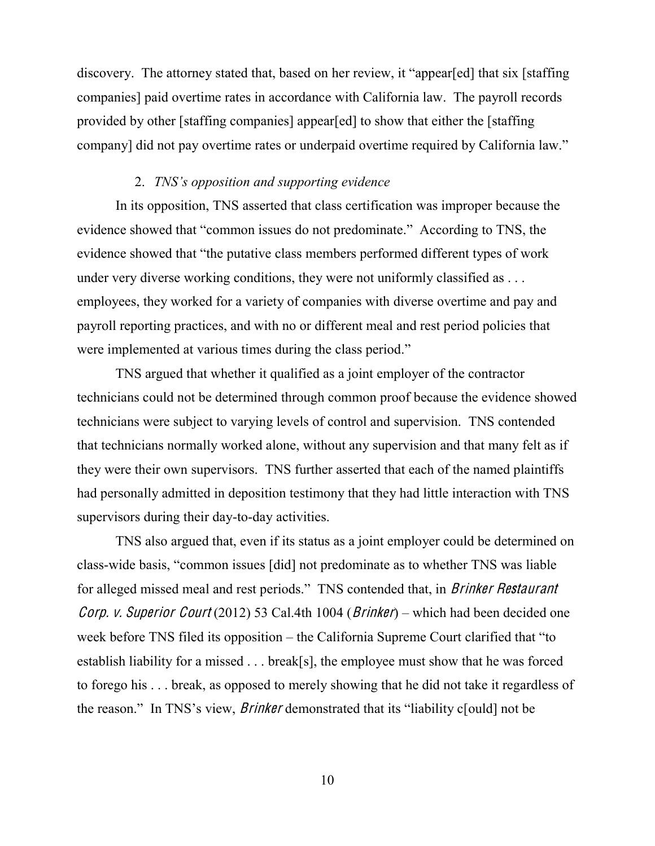discovery. The attorney stated that, based on her review, it "appear[ed] that six [staffing] companies] paid overtime rates in accordance with California law. The payroll records provided by other [staffing companies] appear[ed] to show that either the [staffing company] did not pay overtime rates or underpaid overtime required by California law."

### 2. *TNS's opposition and supporting evidence*

In its opposition, TNS asserted that class certification was improper because the evidence showed that "common issues do not predominate." According to TNS, the evidence showed that "the putative class members performed different types of work under very diverse working conditions, they were not uniformly classified as ... employees, they worked for a variety of companies with diverse overtime and pay and payroll reporting practices, and with no or different meal and rest period policies that were implemented at various times during the class period."

TNS argued that whether it qualified as a joint employer of the contractor technicians could not be determined through common proof because the evidence showed technicians were subject to varying levels of control and supervision. TNS contended that technicians normally worked alone, without any supervision and that many felt as if they were their own supervisors. TNS further asserted that each of the named plaintiffs had personally admitted in deposition testimony that they had little interaction with TNS supervisors during their day-to-day activities.

 TNS also argued that, even if its status as a joint employer could be determined on class-wide basis, "common issues [did] not predominate as to whether TNS was liable for alleged missed meal and rest periods." TNS contended that, in *Brinker Restaurant* Corp. v. Superior Court (2012) 53 Cal.4th 1004 (Brinker) – which had been decided one week before TNS filed its opposition  $-$  the California Supreme Court clarified that "to establish liability for a missed . . . break[s], the employee must show that he was forced to forego his . . . break, as opposed to merely showing that he did not take it regardless of the reason." In TNS's view, *Brinker* demonstrated that its "liability could not be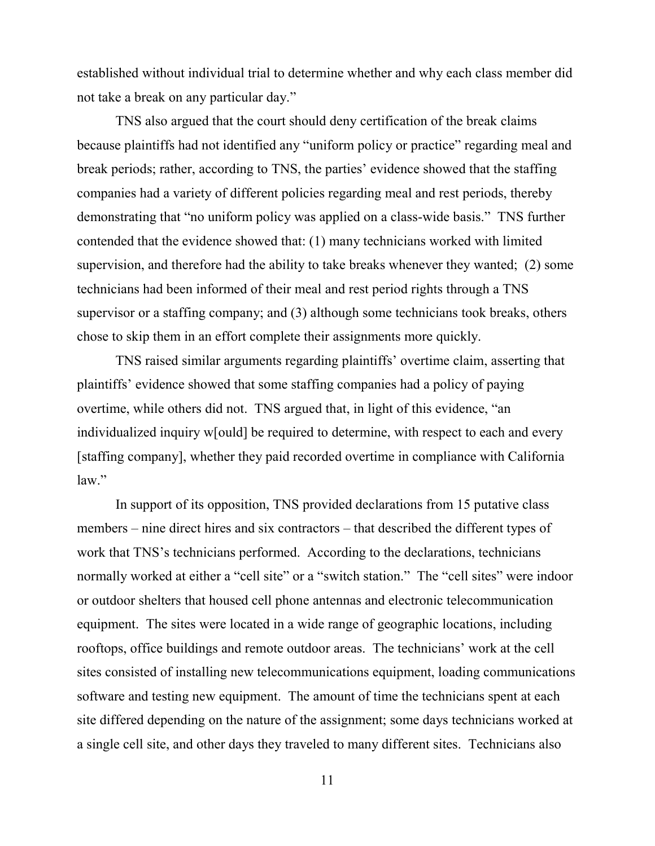established without individual trial to determine whether and why each class member did not take a break on any particular day."

TNS also argued that the court should deny certification of the break claims because plaintiffs had not identified any "uniform policy or practice" regarding meal and break periods; rather, according to TNS, the parties' evidence showed that the staffing companies had a variety of different policies regarding meal and rest periods, thereby demonstrating that "no uniform policy was applied on a class-wide basis." TNS further contended that the evidence showed that: (1) many technicians worked with limited supervision, and therefore had the ability to take breaks whenever they wanted; (2) some technicians had been informed of their meal and rest period rights through a TNS supervisor or a staffing company; and (3) although some technicians took breaks, others chose to skip them in an effort complete their assignments more quickly.

TNS raised similar arguments regarding plaintiffs' overtime claim, asserting that plaintiffs' evidence showed that some staffing companies had a policy of paying overtime, while others did not. TNS argued that, in light of this evidence, "an individualized inquiry w[ould] be required to determine, with respect to each and every [staffing company], whether they paid recorded overtime in compliance with California  $law$ ."

In support of its opposition, TNS provided declarations from 15 putative class members – nine direct hires and six contractors – that described the different types of work that TNS's technicians performed. According to the declarations, technicians normally worked at either a "cell site" or a "switch station." The "cell sites" were indoor or outdoor shelters that housed cell phone antennas and electronic telecommunication equipment. The sites were located in a wide range of geographic locations, including rooftops, office buildings and remote outdoor areas. The technicians' work at the cell sites consisted of installing new telecommunications equipment, loading communications software and testing new equipment. The amount of time the technicians spent at each site differed depending on the nature of the assignment; some days technicians worked at a single cell site, and other days they traveled to many different sites. Technicians also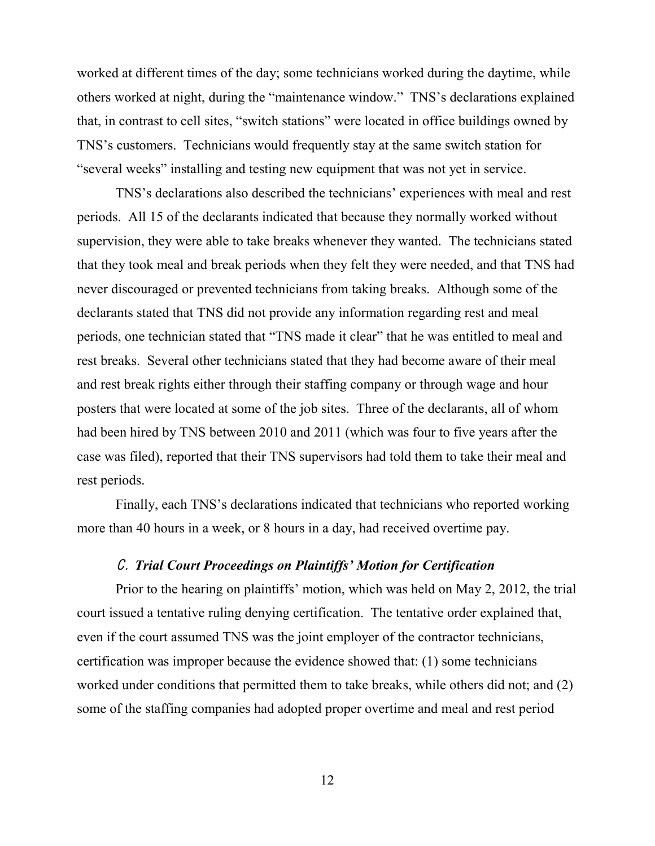worked at different times of the day; some technicians worked during the daytime, while others worked at night, during the "maintenance window." TNS's declarations explained that, in contrast to cell sites, "switch stations" were located in office buildings owned by TNS's customers. Technicians would frequently stay at the same switch station for "several weeks" installing and testing new equipment that was not yet in service.

TNS's declarations also described the technicians' experiences with meal and rest periods. All 15 of the declarants indicated that because they normally worked without supervision, they were able to take breaks whenever they wanted. The technicians stated that they took meal and break periods when they felt they were needed, and that TNS had never discouraged or prevented technicians from taking breaks. Although some of the declarants stated that TNS did not provide any information regarding rest and meal periods, one technician stated that "TNS made it clear" that he was entitled to meal and rest breaks. Several other technicians stated that they had become aware of their meal and rest break rights either through their staffing company or through wage and hour posters that were located at some of the job sites. Three of the declarants, all of whom had been hired by TNS between 2010 and 2011 (which was four to five years after the case was filed), reported that their TNS supervisors had told them to take their meal and rest periods.

Finally, each TNS's declarations indicated that technicians who reported working more than 40 hours in a week, or 8 hours in a day, had received overtime pay.

# *C. Trial Court Proceedings on Plaintiffs' Motion for Certification*

Prior to the hearing on plaintiffs' motion, which was held on May 2, 2012, the trial court issued a tentative ruling denying certification. The tentative order explained that, even if the court assumed TNS was the joint employer of the contractor technicians, certification was improper because the evidence showed that: (1) some technicians worked under conditions that permitted them to take breaks, while others did not; and (2) some of the staffing companies had adopted proper overtime and meal and rest period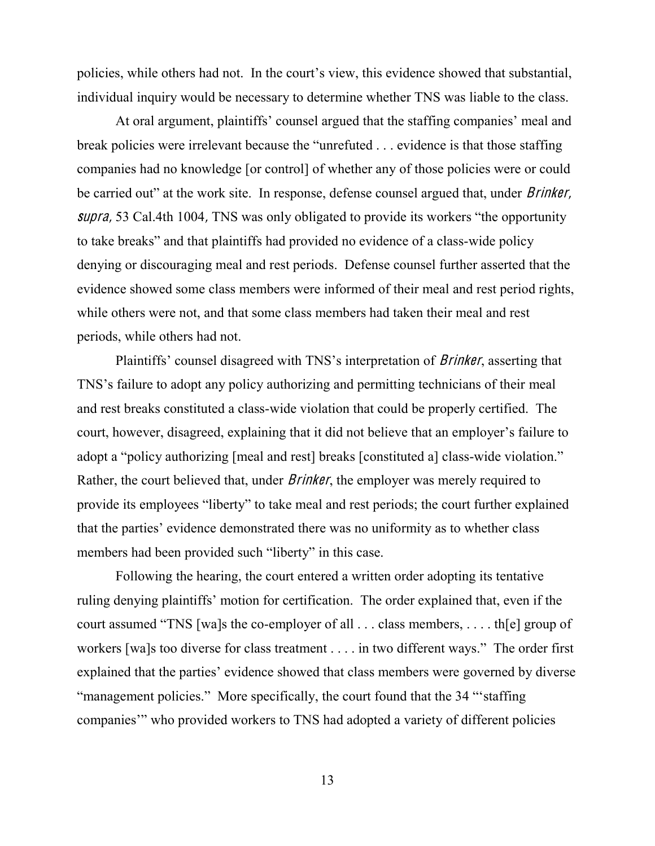policies, while others had not. In the court's view, this evidence showed that substantial, individual inquiry would be necessary to determine whether TNS was liable to the class.

At oral argument, plaintiffs' counsel argued that the staffing companies' meal and break policies were irrelevant because the "unrefuted ... evidence is that those staffing companies had no knowledge [or control] of whether any of those policies were or could be carried out" at the work site. In response, defense counsel argued that, under *Brinker*, supra, 53 Cal.4th 1004, TNS was only obligated to provide its workers "the opportunity to take breaks" and that plaintiffs had provided no evidence of a class-wide policy denying or discouraging meal and rest periods. Defense counsel further asserted that the evidence showed some class members were informed of their meal and rest period rights, while others were not, and that some class members had taken their meal and rest periods, while others had not.

Plaintiffs' counsel disagreed with TNS's interpretation of *Brinker*, asserting that TNS's failure to adopt any policy authorizing and permitting technicians of their meal and rest breaks constituted a class-wide violation that could be properly certified. The Frault, however, disagreed, explaining that it did not believe that an employer's failure to adopt a "policy authorizing [meal and rest] breaks [constituted a] class-wide violation." Rather, the court believed that, under *Brinker*, the employer was merely required to provide its employees "liberty" to take meal and rest periods; the court further explained that the parties' evidence demonstrated there was no uniformity as to whether class members had been provided such "liberty" in this case.

Following the hearing, the court entered a written order adopting its tentative ruling denying plaintiffs' motion for certification. The order explained that, even if the court assumed "TNS [wa]s the co-employer of all  $\ldots$  class members,  $\ldots$  th[e] group of workers [wa]s too diverse for class treatment  $\dots$  in two different ways." The order first explained that the parties' evidence showed that class members were governed by diverse "management policies." More specifically, the court found that the 34 "staffing" companies" who provided workers to TNS had adopted a variety of different policies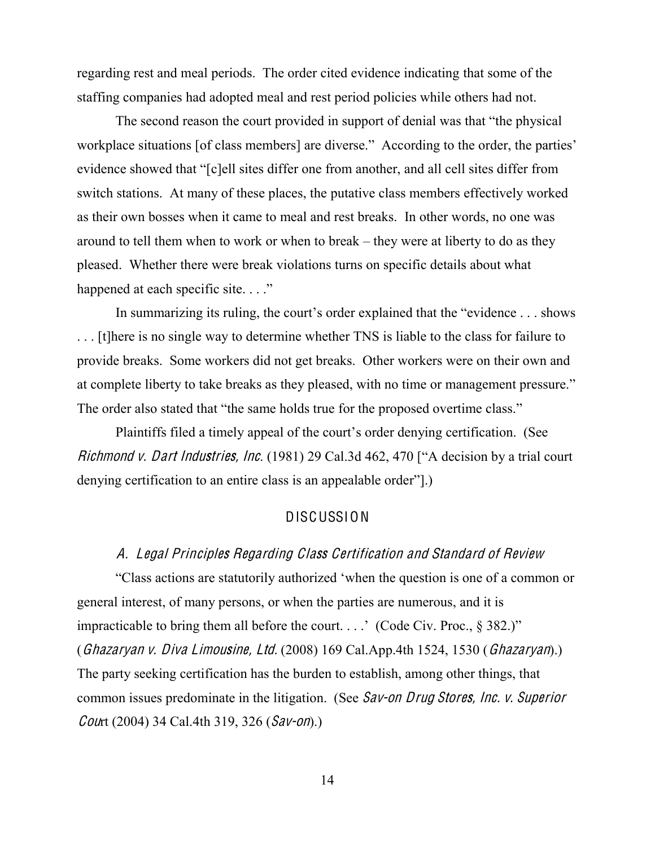regarding rest and meal periods. The order cited evidence indicating that some of the staffing companies had adopted meal and rest period policies while others had not.

The second reason the court provided in support of denial was that "the physical workplace situations [of class members] are diverse." According to the order, the parties' evidence showed that "[c]ell sites differ one from another, and all cell sites differ from switch stations. At many of these places, the putative class members effectively worked as their own bosses when it came to meal and rest breaks. In other words, no one was around to tell them when to work or when to break  $-$  they were at liberty to do as they pleased. Whether there were break violations turns on specific details about what happened at each specific site...."

In summarizing its ruling, the court's order explained that the "evidence  $\dots$  shows . . . [t]here is no single way to determine whether TNS is liable to the class for failure to provide breaks. Some workers did not get breaks. Other workers were on their own and at complete liberty to take breaks as they pleased, with no time or management pressure." The order also stated that "the same holds true for the proposed overtime class."

Plaintiffs filed a timely appeal of the court's order denying certification. (See Richmond v. Dart Industries, Inc. (1981) 29 Cal.3d 462, 470 ["A decision by a trial court denying certification to an entire class is an appealable order".)

# DISCUSSION

### A. Legal Principle<sup>s</sup> Regarding Class Certification and Standard of Revie<sup>w</sup>

"Class actions are statutorily authorized 'when the question is one of a common or general interest, of many persons, or when the parties are numerous, and it is impracticable to bring them all before the court....' (Code Civ. Proc.,  $\S$  382.)" (Ghazaryan <sup>v</sup>. Diva Limousine, Ltd. (2008) 169 Cal.App.4th 1524, 1530 (Ghazaryan).) The party seeking certification has the burden to establish, among other things, that common issues predominate in the litigation. (See Sav-on Drug Stores, Inc. <sup>v</sup>. Superior Court (2004) 34 Cal.4th 319, 326 (Sav-on).)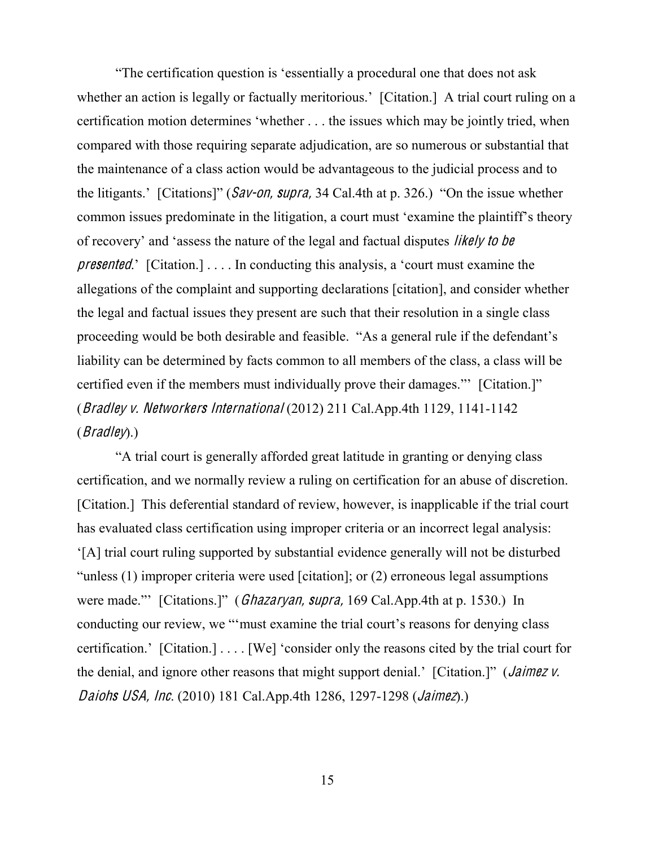"The certification question is 'essentially a procedural one that does not ask whether an action is legally or factually meritorious.' [Citation.] A trial court ruling on a certification motion determines 'whether  $\dots$  the issues which may be jointly tried, when compared with those requiring separate adjudication, are so numerous or substantial that the maintenance of a class action would be advantageous to the judicial process and to the litigants.' [Citations]" (Sav-on, supra, 34 Cal.4th at p. 326.) "On the issue whether common issues predominate in the litigation, a court must 'examine the plaintiff's theory of recovery' and 'assess the nature of the legal and factual disputes *likely to be presented.* [Citation.]  $\ldots$  In conducting this analysis, a 'court must examine the allegations of the complaint and supporting declarations [citation], and consider whether the legal and factual issues they present are such that their resolution in a single class proceeding would be both desirable and feasible. "As a general rule if the defendant's liability can be determined by facts common to all members of the class, a class will be certified even if the members must individually prove their damages." [Citation.]" (Bradley <sup>v</sup>. Networker<sup>s</sup> International (2012) 211 Cal.App.4th 1129, 1141-1142  $(Bradley)$ .)

"A trial court is generally afforded great latitude in granting or denying class certification, and we normally review a ruling on certification for an abuse of discretion. [Citation.] This deferential standard of review, however, is inapplicable if the trial court has evaluated class certification using improper criteria or an incorrect legal analysis:  $[A]$  trial court ruling supported by substantial evidence generally will not be disturbed "unless  $(1)$  improper criteria were used [citation]; or  $(2)$  erroneous legal assumptions were made." [Citations.]" (*Ghazaryan, supra,* 169 Cal.App.4th at p. 1530.) In conducting our review, we "must examine the trial court's reasons for denying class certification.' [Citation.]  $\ldots$  [We] 'consider only the reasons cited by the trial court for the denial, and ignore other reasons that might support denial.' [Citation.]" (*Jaimez v.* Daioh<sup>s</sup> USA, Inc. (2010) 181 Cal.App.4th 1286, 1297-1298 (Jaimez).)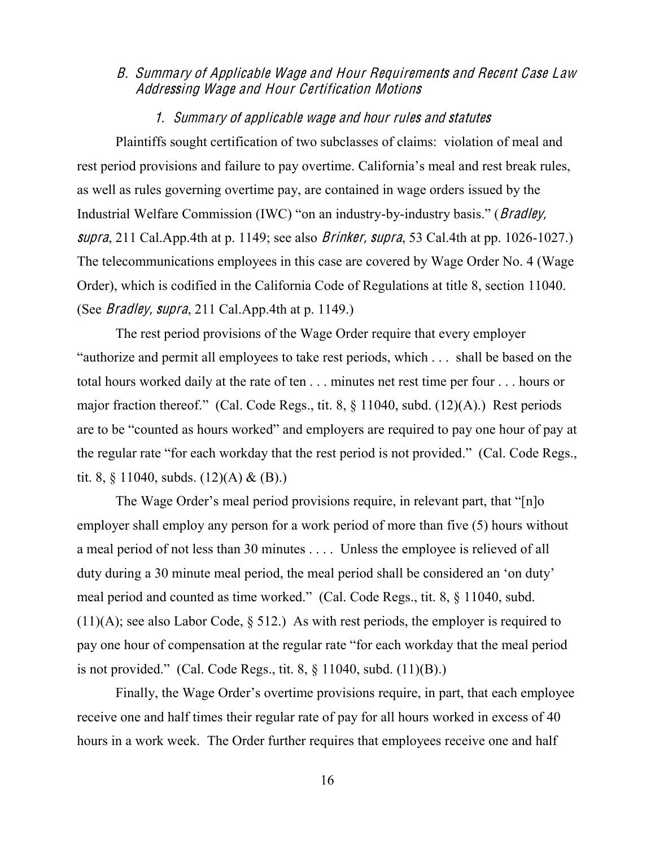# B. Summary of Applicabl<sup>e</sup> Wag<sup>e</sup> and Hour Requir<sup>e</sup>ments and Recent Cas<sup>e</sup> Law Addressing Wag<sup>e</sup> and Hour Certification Motion<sup>s</sup>

### 1. Summary <sup>o</sup>f applicabl<sup>e</sup> wag<sup>e</sup> and hour rule<sup>s</sup> and statute<sup>s</sup>

Plaintiffs sought certification of two subclasses of claims: violation of meal and rest period provisions and failure to pay overtime. California's meal and rest break rules, as well as rules governing overtime pay, are contained in wage orders issued by the Industrial Welfare Commission (IWC) "on an industry-by-industry basis." (*Bradley*, supra, 211 Cal. App. 4th at p. 1149; see also *Brinker*, supra, 53 Cal. 4th at pp. 1026-1027.) The telecommunications employees in this case are covered by Wage Order No. 4 (Wage Order), which is codified in the California Code of Regulations at title 8, section 11040. (See *Bradley, supra*, 211 Cal.App.4th at p. 1149.)

The rest period provisions of the Wage Order require that every employer "authorize and permit all employees to take rest periods, which ... shall be based on the total hours worked daily at the rate of ten . . . minutes net rest time per four . . . hours or major fraction thereof." (Cal. Code Regs., tit. 8,  $\S$  11040, subd. (12)(A).) Rest periods are to be "counted as hours worked" and employers are required to pay one hour of pay at the regular rate "for each workday that the rest period is not provided." (Cal. Code Regs., tit. 8,  $\S$  11040, subds. (12)(A) & (B).)

The Wage Order's meal period provisions require, in relevant part, that "[n]o employer shall employ any person for a work period of more than five (5) hours without a meal period of not less than 30 minutes . . . . Unless the employee is relieved of all duty during a 30 minute meal period, the meal period shall be considered an 'on duty' meal period and counted as time worked." (Cal. Code Regs., tit. 8, § 11040, subd.  $(11)(A)$ ; see also Labor Code, § 512.) As with rest periods, the employer is required to pay one hour of compensation at the regular rate "for each workday that the meal period is not provided." (Cal. Code Regs., tit. 8,  $\S$  11040, subd. (11)(B).)

Finally, the Wage Order's overtime provisions require, in part, that each employee receive one and half times their regular rate of pay for all hours worked in excess of 40 hours in a work week. The Order further requires that employees receive one and half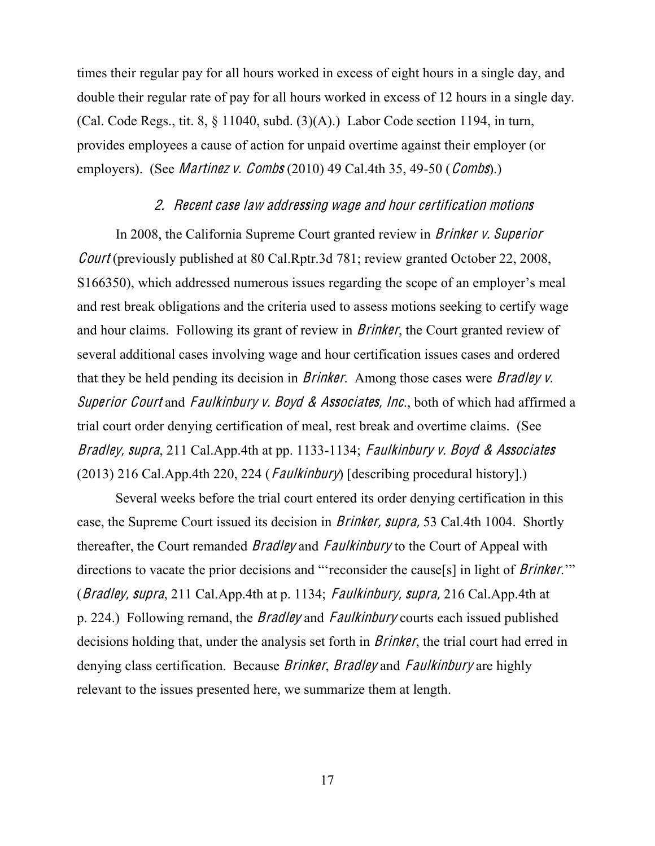times their regular pay for all hours worked in excess of eight hours in a single day, and double their regular rate of pay for all hours worked in excess of 12 hours in a single day. (Cal. Code Regs., tit. 8,  $\S$  11040, subd. (3)(A).) Labor Code section 1194, in turn, provides employees a cause of action for unpaid overtime against their employer (or employers). (See *Martinez v. Combs* (2010) 49 Cal.4th 35, 49-50 (*Combs*).)

#### 2. Recent <sup>c</sup>as<sup>e</sup> law addressing wag<sup>e</sup> and hour certification motion<sup>s</sup>

In 2008, the California Supreme Court granted review in Brinke<sup>r</sup> <sup>v</sup>. Superior Cour<sup>t</sup> (previously published at 80 Cal.Rptr.3d 781; review granted October 22, 2008,  $S166350$ , which addressed numerous issues regarding the scope of an employer's meal and rest break obligations and the criteria used to assess motions seeking to certify wage and hour claims. Following its grant of review in Brinker, the Court granted review of several additional cases involving wage and hour certification issues cases and ordered that they be held pending its decision in Brinker. Among those cases were Bradley <sup>v</sup>. Superior Court and Faulkinbury v. Boyd & Associates, Inc., both of which had affirmed a trial court order denying certification of meal, rest break and overtime claims. (See Bradley, supra, 211 Cal.App.4th at pp. 1133-1134; Faulkinbury v. Boyd & Associates (2013) 216 Cal.App.4th 220, 224 (*Faulkinbury*) [describing procedural history].)

Several weeks before the trial court entered its order denying certification in this case, the Supreme Court issued its decision in Brinker, <sup>s</sup>upra, 53 Cal.4th 1004. Shortly thereafter, the Court remanded *Bradley* and *Faulkinbury* to the Court of Appeal with directions to vacate the prior decisions and "reconsider the cause[s] in light of *Brinker*." (*Bradley, supra*, 211 Cal.App.4th at p. 1134; *Faulkinbury, supra,* 216 Cal.App.4th at p. 224.) Following remand, the *Bradley* and *Faulkinbury* courts each issued published decisions holding that, under the analysis set forth in *Brinker*, the trial court had erred in denying class certification. Because *Brinker*, *Bradley* and *Faulkinbury* are highly relevant to the issues presented here, we summarize them at length.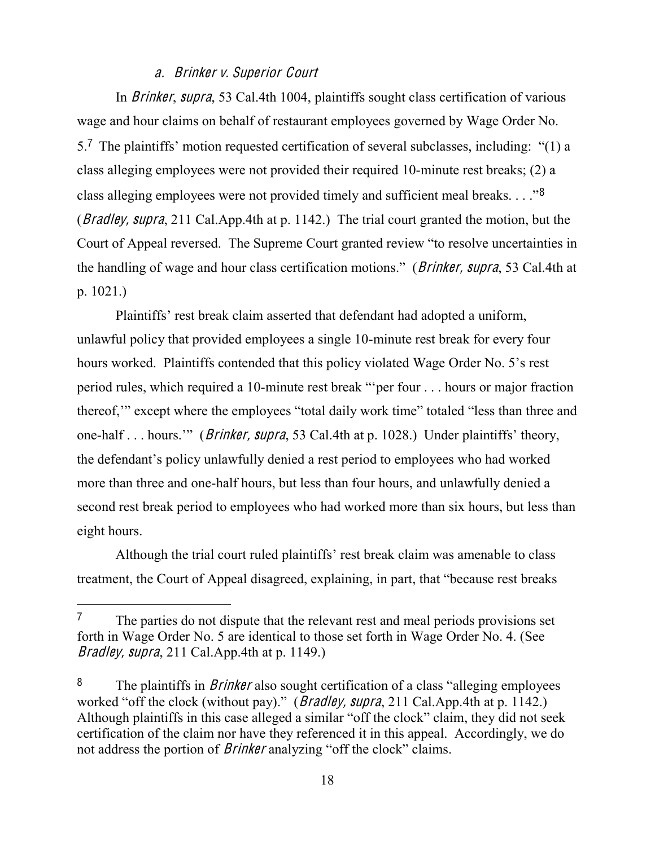# <sup>a</sup>. Brinke<sup>r</sup> <sup>v</sup>. Superior Court

In Brinker, <sup>s</sup>upra, 53 Cal.4th 1004, plaintiffs sought class certification of various wage and hour claims on behalf of restaurant employees governed by Wage Order No. 5.<sup>7</sup> The plaintiffs' motion requested certification of several subclasses, including: "(1) a class alleging employees were not provided their required 10-minute rest breaks; (2) a class alleging employees were not provided timely and sufficient meal breaks...."<sup>8</sup> (Bradley, <sup>s</sup>upra, 211 Cal.App.4th at p. 1142.) The trial court granted the motion, but the Court of Appeal reversed. The Supreme Court granted review "to resolve uncertainties in the handling of wage and hour class certification motions." (*Brinker, supra*, 53 Cal.4th at p. 1021.)

Plaintiffs' rest break claim asserted that defendant had adopted a uniform. unlawful policy that provided employees a single 10-minute rest break for every four hours worked. Plaintiffs contended that this policy violated Wage Order No. 5's rest period rules, which required a 10-minute rest break "per four . . . hours or major fraction thereof," except where the employees "total daily work time" totaled "less than three and one-half  $\ldots$  hours." (*Brinker, supra*, 53 Cal.4th at p. 1028.) Under plaintiffs' theory, the defendant's policy unlawfully denied a rest period to employees who had worked more than three and one-half hours, but less than four hours, and unlawfully denied a second rest break period to employees who had worked more than six hours, but less than eight hours.

Although the trial court ruled plaintiffs' rest break claim was amenable to class treatment, the Court of Appeal disagreed, explaining, in part, that "because rest breaks"

<sup>&</sup>lt;sup>7</sup> The parties do not dispute that the relevant rest and meal periods provisions set forth in Wage Order No. 5 are identical to those set forth in Wage Order No. 4. (See Bradley, <sup>s</sup>upra, 211 Cal.App.4th at p. 1149.)

<sup>&</sup>lt;sup>8</sup> The plaintiffs in *Brinker* also sought certification of a class "alleging employees" worked "off the clock (without pay)." (*Bradley, supra*, 211 Cal.App.4th at p. 1142.) Although plaintiffs in this case alleged a similar "off the clock" claim, they did not seek certification of the claim nor have they referenced it in this appeal. Accordingly, we do not address the portion of *Brinker* analyzing "off the clock" claims.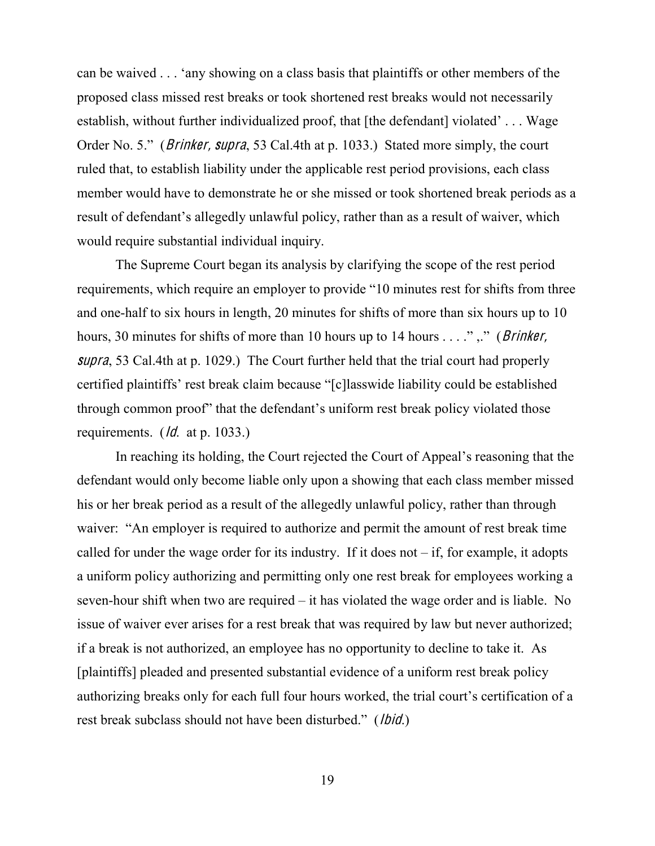can be waived . . . 'any showing on a class basis that plaintiffs or other members of the proposed class missed rest breaks or took shortened rest breaks would not necessarily establish, without further individualized proof, that [the defendant] violated'... Wage Order No. 5." (*Brinker, supra*, 53 Cal.4th at p. 1033.) Stated more simply, the court ruled that, to establish liability under the applicable rest period provisions, each class member would have to demonstrate he or she missed or took shortened break periods as a result of defendant's allegedly unlawful policy, rather than as a result of waiver, which would require substantial individual inquiry.

The Supreme Court began its analysis by clarifying the scope of the rest period requirements, which require an employer to provide "10 minutes rest for shifts from three and one-half to six hours in length, 20 minutes for shifts of more than six hours up to 10 hours, 30 minutes for shifts of more than 10 hours up to 14 hours . . . . ", " (*Brinker,* supra, 53 Cal.4th at p. 1029.) The Court further held that the trial court had properly ertified plaintiffs' rest break claim because "[c]lasswide liability could be established through common proof" that the defendant's uniform rest break policy violated those requirements. (*Id.* at p. 1033.)

In reaching its holding, the Court rejected the Court of Appeal's reasoning that the defendant would only become liable only upon a showing that each class member missed his or her break period as a result of the allegedly unlawful policy, rather than through waiver: "An employer is required to authorize and permit the amount of rest break time called for under the wage order for its industry. If it does not  $-i$  if, for example, it adopts a uniform policy authorizing and permitting only one rest break for employees working a seven-hour shift when two are required  $-\text{i}$  thas violated the wage order and is liable. No issue of waiver ever arises for a rest break that was required by law but never authorized; if a break is not authorized, an employee has no opportunity to decline to take it. As [plaintiffs] pleaded and presented substantial evidence of a uniform rest break policy authorizing breaks only for each full four hours worked, the trial court's certification of a rest break subclass should not have been disturbed." (*lbid.*)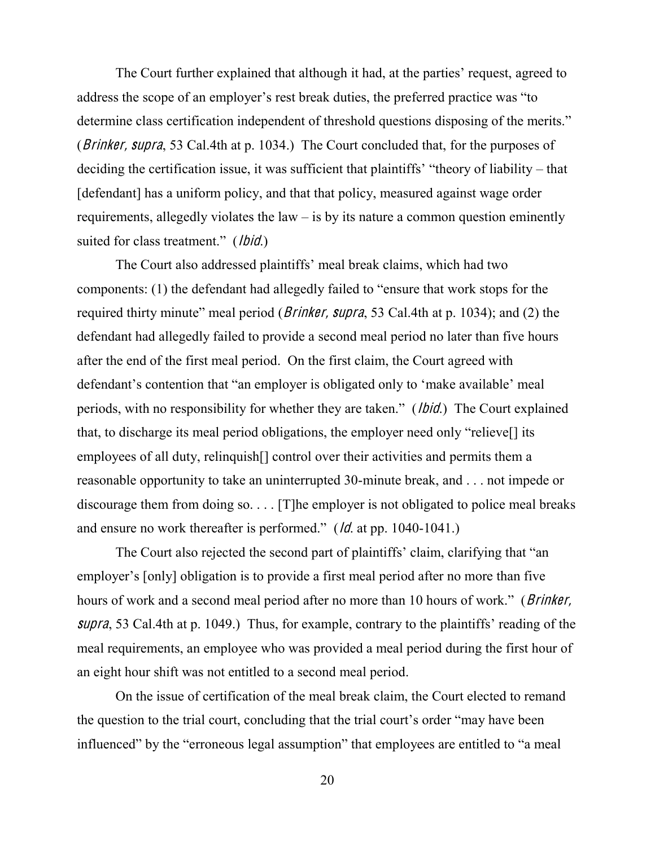The Court further explained that although it had, at the parties' request, agreed to address the scope of an employer's rest break duties, the preferred practice was "to determine class certification independent of threshold questions disposing of the merits." (*Brinker, supra*, 53 Cal.4th at p. 1034.) The Court concluded that, for the purposes of deciding the certification issue, it was sufficient that plaintiffs' "theory of liability – that [defendant] has a uniform policy, and that that policy, measured against wage order requirements, allegedly violates the law  $-$  is by its nature a common question eminently suited for class treatment." (*lbid*.)

The Court also addressed plaintiffs' meal break claims, which had two components: (1) the defendant had allegedly failed to "ensure that work stops for the required thirty minute" meal period (*Brinker, supra*, 53 Cal.4th at p. 1034); and (2) the defendant had allegedly failed to provide a second meal period no later than five hours after the end of the first meal period. On the first claim, the Court agreed with defendant's contention that "an employer is obligated only to 'make available' meal periods, with no responsibility for whether they are taken." (*lbid*.) The Court explained that, to discharge its meal period obligations, the employer need only "relieve. employees of all duty, relinquish[] control over their activities and permits them a reasonable opportunity to take an uninterrupted 30-minute break, and . . . not impede or discourage them from doing so. . . . [T]he employer is not obligated to police meal breaks and ensure no work thereafter is performed."  $(d \cdot d \cdot \text{np. } 1040-1041.)$ 

The Court also rejected the second part of plaintiffs' claim, clarifying that "an employer's [only] obligation is to provide a first meal period after no more than five hours of work and a second meal period after no more than 10 hours of work." (*Brinker*, supra, 53 Cal. 4th at p. 1049.) Thus, for example, contrary to the plaintiffs' reading of the meal requirements, an employee who was provided a meal period during the first hour of an eight hour shift was not entitled to a second meal period.

On the issue of certification of the meal break claim, the Court elected to remand the question to the trial court, concluding that the trial court's order "may have been influenced" by the "erroneous legal assumption" that employees are entitled to "a meal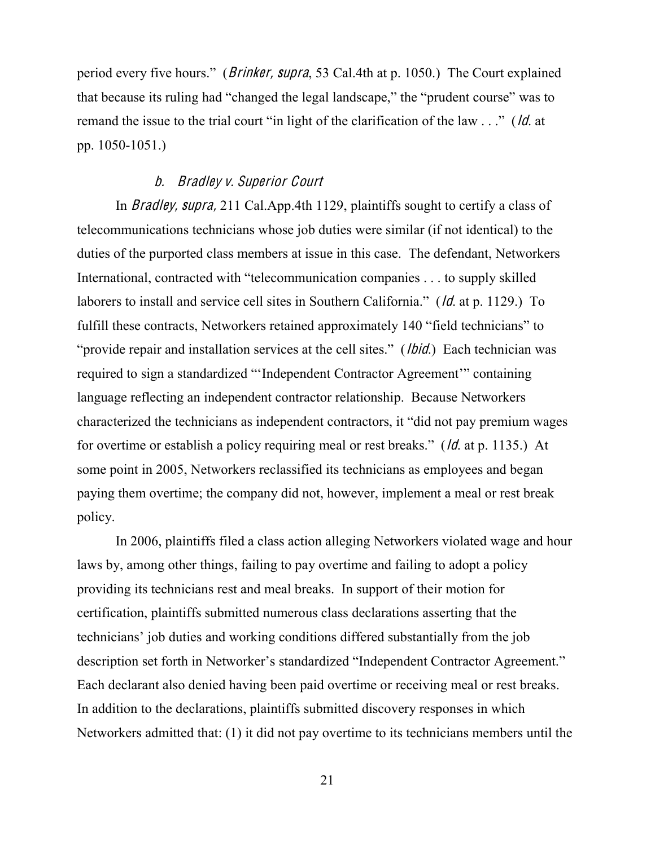period every five hours." (*Brinker, supra*, 53 Cal.4th at p. 1050.) The Court explained that because its ruling had "changed the legal landscape," the "prudent course" was to remand the issue to the trial court "in light of the clarification of the law  $\ldots$ " (*ld.* at pp. 1050-1051.)

### b. Bradley <sup>v</sup>. Superior Court

In Bradley, <sup>s</sup>upra, 211 Cal.App.4th 1129, plaintiffs sought to certify a class of telecommunications technicians whose job duties were similar (if not identical) to the duties of the purported class members at issue in this case. The defendant, Networkers International, contracted with "telecommunication companies . . . to supply skilled laborers to install and service cell sites in Southern California." ( $\overline{Id}$ . at p. 1129.) To fulfill these contracts, Networkers retained approximately 140 "field technicians" to "provide repair and installation services at the cell sites." (*lbid*.) Each technician was required to sign a standardized "'Independent Contractor Agreement'" containing language reflecting an independent contractor relationship. Because Networkers characterized the technicians as independent contractors, it "did not pay premium wages for overtime or establish a policy requiring meal or rest breaks." ( $\sqrt{d}$ . at p. 1135.) At some point in 2005, Networkers reclassified its technicians as employees and began paying them overtime; the company did not, however, implement a meal or rest break policy.

In 2006, plaintiffs filed a class action alleging Networkers violated wage and hour laws by, among other things, failing to pay overtime and failing to adopt a policy providing its technicians rest and meal breaks. In support of their motion for certification, plaintiffs submitted numerous class declarations asserting that the technicians' job duties and working conditions differed substantially from the job description set forth in Networker's standardized "Independent Contractor Agreement." Each declarant also denied having been paid overtime or receiving meal or rest breaks. In addition to the declarations, plaintiffs submitted discovery responses in which Networkers admitted that: (1) it did not pay overtime to its technicians members until the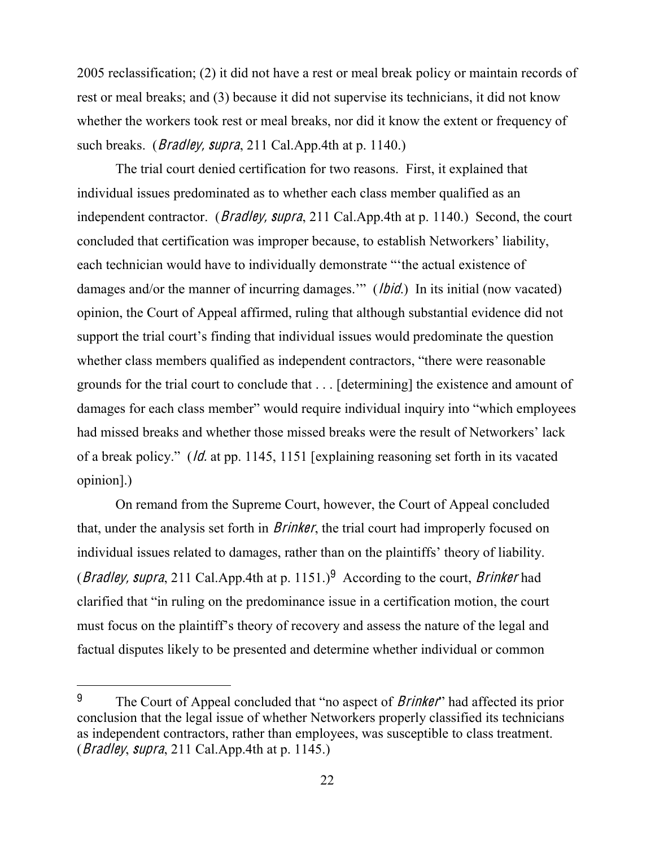2005 reclassification; (2) it did not have a rest or meal break policy or maintain records of rest or meal breaks; and (3) because it did not supervise its technicians, it did not know whether the workers took rest or meal breaks, nor did it know the extent or frequency of such breaks. (*Bradley, supra*, 211 Cal.App.4th at p. 1140.)

The trial court denied certification for two reasons. First, it explained that individual issues predominated as to whether each class member qualified as an independent contractor. (*Bradley, supra*, 211 Cal.App.4th at p. 1140.) Second, the court concluded that certification was improper because, to establish Networkers' liability, each technician would have to individually demonstrate "the actual existence of damages and/or the manner of incurring damages." (*lbid*.) In its initial (now vacated) opinion, the Court of Appeal affirmed, ruling that although substantial evidence did not support the trial court's finding that individual issues would predominate the question whether class members qualified as independent contractors, "there were reasonable grounds for the trial court to conclude that . . . [determining] the existence and amount of damages for each class member" would require individual inquiry into "which employees" had missed breaks and whether those missed breaks were the result of Networkers' lack of a break policy." (*ld.* at pp. 1145, 1151 [explaining reasoning set forth in its vacated opinion].)

On remand from the Supreme Court, however, the Court of Appeal concluded that, under the analysis set forth in *Brinker*, the trial court had improperly focused on individual issues related to damages, rather than on the plaintiffs' theory of liability. (Bradley, supra, 211 Cal.App.4th at p. 1151.)<sup>9</sup> According to the court, *Brinker* had clarified that "in ruling on the predominance issue in a certification motion, the court must focus on the plaintiff's theory of recovery and assess the nature of the legal and factual disputes likely to be presented and determine whether individual or common

<sup>&</sup>lt;sup>9</sup> The Court of Appeal concluded that "no aspect of *Brinker*" had affected its prior conclusion that the legal issue of whether Networkers properly classified its technicians as independent contractors, rather than employees, was susceptible to class treatment. (Bradley, supra, 211 Cal.App.4th at p. 1145.)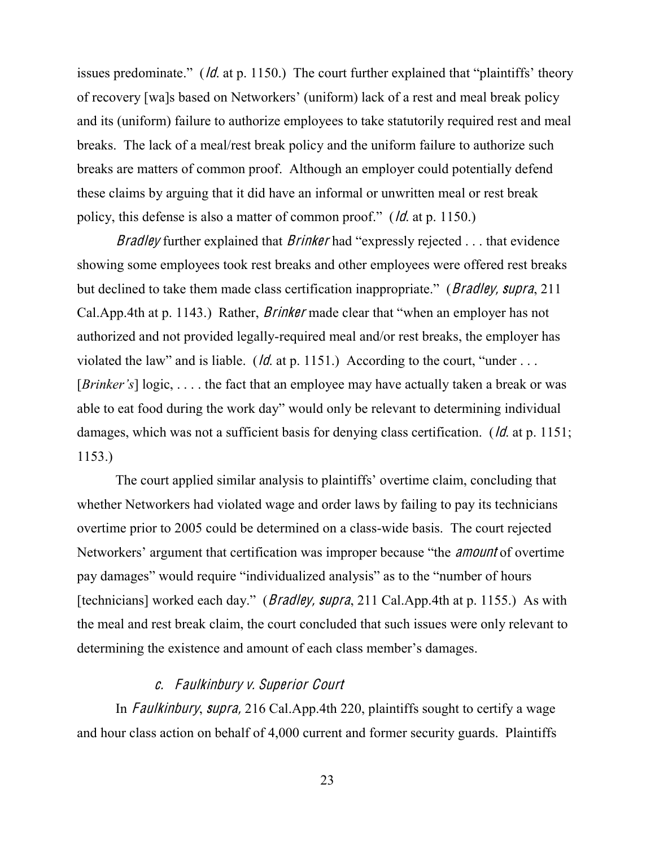issues predominate." (*ld.* at p. 1150.) The court further explained that "plaintiffs" theory of recovery [wa]s based on Networkers' (uniform) lack of a rest and meal break policy and its (uniform) failure to authorize employees to take statutorily required rest and meal breaks. The lack of a meal/rest break policy and the uniform failure to authorize such breaks are matters of common proof. Although an employer could potentially defend these claims by arguing that it did have an informal or unwritten meal or rest break policy, this defense is also a matter of common proof." ( $\theta$  at p. 1150.)

*Bradley* further explained that *Brinker* had "expressly rejected  $\ldots$  that evidence showing some employees took rest breaks and other employees were offered rest breaks but declined to take them made class certification inappropriate." (*Bradley, supra*, 211) Cal.App.4th at p. 1143.) Rather, *Brinker* made clear that "when an employer has not authorized and not provided legally-required meal and/or rest breaks, the employer has violated the law" and is liable. ( $\sqrt{d}$ . at p. 1151.) According to the court, "under ... [*Brinker's*] logic, ... the fact that an employee may have actually taken a break or was able to eat food during the work day" would only be relevant to determining individual damages, which was not a sufficient basis for denying class certification. (*Id.* at p. 1151; 1153.)

The court applied similar analysis to plaintiffs' overtime claim, concluding that whether Networkers had violated wage and order laws by failing to pay its technicians overtime prior to 2005 could be determined on a class-wide basis. The court rejected Networkers' argument that certification was improper because "the *amount* of overtime pay damages" would require "individualized analysis" as to the "number of hours" [technicians] worked each day." (*Bradley, supra*, 211 Cal.App.4th at p. 1155.) As with the meal and rest break claim, the court concluded that such issues were only relevant to determining the existence and amount of each class member's damages.

# c. Faulkinbury v. Superior Court

In *Faulkinbury, supra,* 216 Cal.App.4th 220, plaintiffs sought to certify a wage and hour class action on behalf of 4,000 current and former security guards. Plaintiffs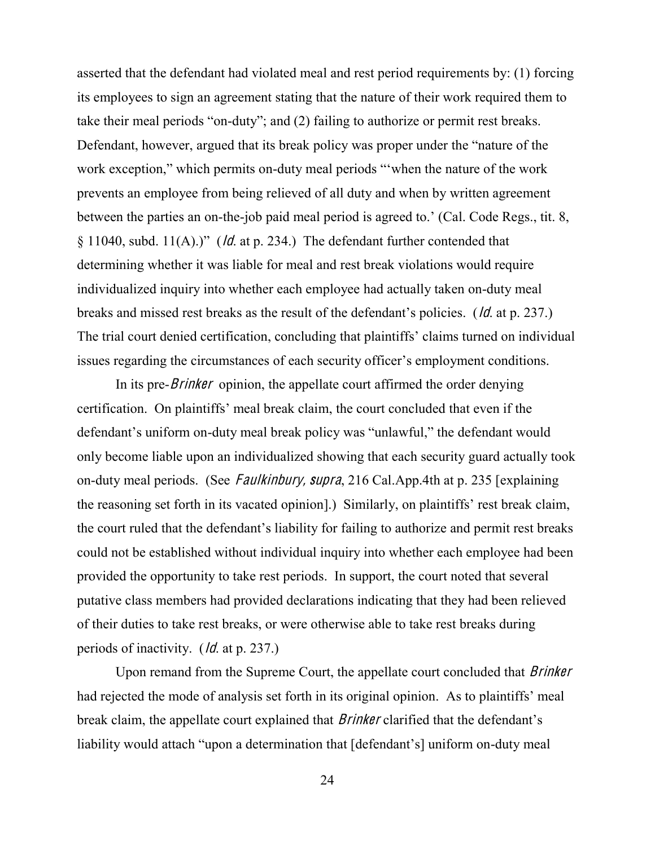asserted that the defendant had violated meal and rest period requirements by: (1) forcing its employees to sign an agreement stating that the nature of their work required them to take their meal periods "on-duty"; and (2) failing to authorize or permit rest breaks. Defendant, however, argued that its break policy was proper under the "nature of the work exception," which permits on-duty meal periods "when the nature of the work prevents an employee from being relieved of all duty and when by written agreement between the parties an on-the-job paid meal period is agreed to.' (Cal. Code Regs., tit. 8,  $\S$  11040, subd. 11(A).)" (*ld.* at p. 234.) The defendant further contended that determining whether it was liable for meal and rest break violations would require individualized inquiry into whether each employee had actually taken on-duty meal breaks and missed rest breaks as the result of the defendant's policies. (*ld.* at p. 237.) The trial court denied certification, concluding that plaintiffs' claims turned on individual issues regarding the circumstances of each security officer's employment conditions.

In its pre-*Brinker* opinion, the appellate court affirmed the order denying certification. On plaintiffs' meal break claim, the court concluded that even if the defendant's uniform on-duty meal break policy was "unlawful," the defendant would only become liable upon an individualized showing that each security guard actually took on-duty meal periods. (See *Faulkinbury, supra*, 216 Cal.App.4th at p. 235 [explaining] the reasoning set forth in its vacated opinion. Similarly, on plaintiffs' rest break claim, the court ruled that the defendant's liability for failing to authorize and permit rest breaks could not be established without individual inquiry into whether each employee had been provided the opportunity to take rest periods. In support, the court noted that several putative class members had provided declarations indicating that they had been relieved of their duties to take rest breaks, or were otherwise able to take rest breaks during periods of inactivity. (*Id.* at p. 237.)

Upon remand from the Supreme Court, the appellate court concluded that *Brinker* had rejected the mode of analysis set forth in its original opinion. As to plaintiffs' meal break claim, the appellate court explained that *Brinker* clarified that the defendant's liability would attach "upon a determination that [defendant's] uniform on-duty meal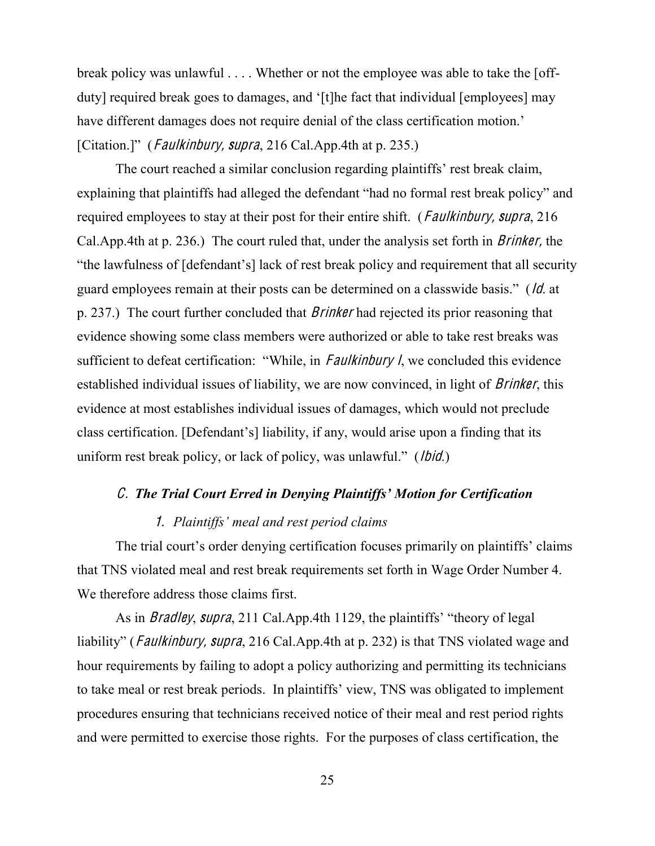break policy was unlawful . . . . Whether or not the employee was able to take the [offduty] required break goes to damages, and '[t]he fact that individual [employees] may have different damages does not require denial of the class certification motion. [Citation.]" (*Faulkinbury, supra*, 216 Cal.App.4th at p. 235.)

The court reached a similar conclusion regarding plaintiffs' rest break claim, explaining that plaintiffs had alleged the defendant "had no formal rest break policy" and required employees to stay at their post for their entire shift. (*Faulkinbury, supra*, 216 Cal.App.4th at p. 236.) The court ruled that, under the analysis set forth in Brinker, the "the lawfulness of [defendant's] lack of rest break policy and requirement that all security guard employees remain at their posts can be determined on a classwide basis." (*ld.* at p. 237.) The court further concluded that Brinke<sup>r</sup> had rejected its prior reasoning that evidence showing some class members were authorized or able to take rest breaks was sufficient to defeat certification: "While, in Faulkinbury  $I$ , we concluded this evidence established individual issues of liability, we are now convinced, in light of *Brinker*, this evidence at most establishes individual issues of damages, which would not preclude class certification. [Defendant's] liability, if any, would arise upon a finding that its uniform rest break policy, or lack of policy, was unlawful." (*lbid.*)

## *C. The Trial Court Erred in Denying Plaintiffs' Motion for Certification*

### 1. Plaintiffs' meal and rest period claims

The trial court's order denying certification focuses primarily on plaintiffs' claims that TNS violated meal and rest break requirements set forth in Wage Order Number 4. We therefore address those claims first.

As in *Bradley, supra,* 211 Cal.App.4th 1129, the plaintiffs' "theory of legal liability" (*Faulkinbury, supra*, 216 Cal.App.4th at p. 232) is that TNS violated wage and hour requirements by failing to adopt a policy authorizing and permitting its technicians to take meal or rest break periods. In plaintiffs' view, TNS was obligated to implement procedures ensuring that technicians received notice of their meal and rest period rights and were permitted to exercise those rights. For the purposes of class certification, the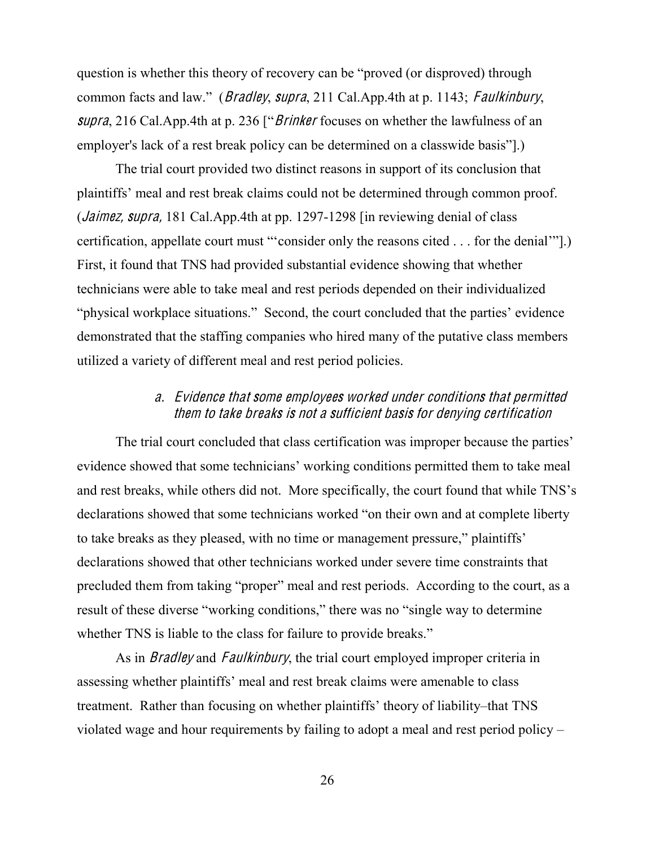question is whether this theory of recovery can be "proved (or disproved) through common facts and law." (*Bradley, supra,* 211 Cal.App.4th at p. 1143; *Faulkinbury,* supra, 216 Cal. App. 4th at p. 236 ["*Brinker* focuses on whether the lawfulness of an employer's lack of a rest break policy can be determined on a classwide basis"].)

The trial court provided two distinct reasons in support of its conclusion that plaintiffs' meal and rest break claims could not be determined through common proof. (Jaimez, <sup>s</sup>upra, 181 Cal.App.4th at pp. 1297-1298 [in reviewing denial of class certification, appellate court must "'consider only the reasons cited  $\dots$  for the denial'". First, it found that TNS had provided substantial evidence showing that whether technicians were able to take meal and rest periods depended on their individualized "physical workplace situations." Second, the court concluded that the parties' evidence demonstrated that the staffing companies who hired many of the putative class members utilized a variety of different meal and rest period policies.

# <sup>a</sup>. Evidence that <sup>s</sup>om<sup>e</sup> <sup>e</sup>mployee<sup>s</sup> worked unde<sup>r</sup> <sup>c</sup>ondition<sup>s</sup> that permitted the<sup>m</sup> t<sup>o</sup> take break<sup>s</sup> i<sup>s</sup> not <sup>a</sup> <sup>s</sup>ufficient basi<sup>s</sup> for denying certification

The trial court concluded that class certification was improper because the parties' evidence showed that some technicians' working conditions permitted them to take meal and rest breaks, while others did not. More specifically, the court found that while TNS's declarations showed that some technicians worked "on their own and at complete liberty to take breaks as they pleased, with no time or management pressure," plaintiffs' declarations showed that other technicians worked under severe time constraints that precluded them from taking "proper" meal and rest periods. According to the court, as a result of these diverse "working conditions," there was no "single way to determine whether TNS is liable to the class for failure to provide breaks."

As in *Bradley* and *Faulkinbury*, the trial court employed improper criteria in assessing whether plaintiffs' meal and rest break claims were amenable to class treatment. Rather than focusing on whether plaintiffs' theory of liability—that TNS violated wage and hour requirements by failing to adopt a meal and rest period policy  $-$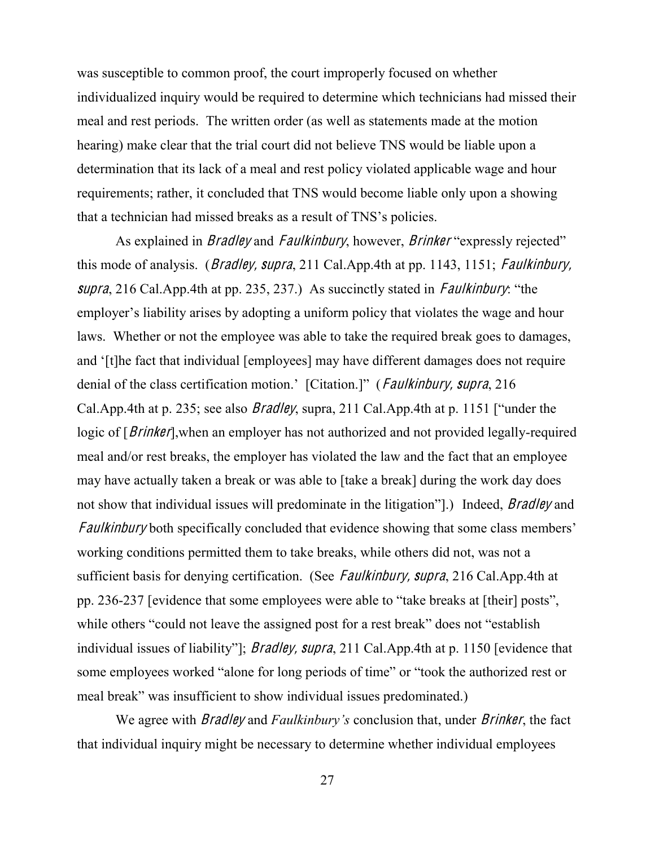was susceptible to common proof, the court improperly focused on whether individualized inquiry would be required to determine which technicians had missed their meal and rest periods. The written order (as well as statements made at the motion hearing) make clear that the trial court did not believe TNS would be liable upon a determination that its lack of a meal and rest policy violated applicable wage and hour requirements; rather, it concluded that TNS would become liable only upon a showing that a technician had missed breaks as a result of TNS's policies.

As explained in *Bradley* and *Faulkinbury*, however, *Brinker* "expressly rejected" this mode of analysis. (*Bradley, supra*, 211 Cal.App.4th at pp. 1143, 1151; *Faulkinbury*, supra, 216 Cal.App.4th at pp. 235, 237.) As succinctly stated in *Faulkinbury*: "the employer's liability arises by adopting a uniform policy that violates the wage and hour laws. Whether or not the employee was able to take the required break goes to damages, and '[t]he fact that individual [employees] may have different damages does not require denial of the class certification motion.' [Citation.]" (*Faulkinbury, supra*, 216 Cal.App.4th at p. 235; see also *Bradley*, supra, 211 Cal.App.4th at p. 1151 ["under the logic of [*Brinker*], when an employer has not authorized and not provided legally-required meal and/or rest breaks, the employer has violated the law and the fact that an employee may have actually taken a break or was able to [take a break] during the work day does not show that individual issues will predominate in the litigation".) Indeed, *Bradley* and Faulkinbury both specifically concluded that evidence showing that some class members' working conditions permitted them to take breaks, while others did not, was not a sufficient basis for denying certification. (See *Faulkinbury, supra*, 216 Cal.App.4th at pp. 236-237 [evidence that some employees were able to "take breaks at [their] posts", while others "could not leave the assigned post for a rest break" does not "establish" individual issues of liability"]; *Bradley, supra*, 211 Cal.App.4th at p. 1150 [evidence that some employees worked "alone for long periods of time" or "took the authorized rest or meal break" was insufficient to show individual issues predominated.)

We agree with *Bradley* and *Faulkinbury's* conclusion that, under *Brinker*, the fact that individual inquiry might be necessary to determine whether individual employees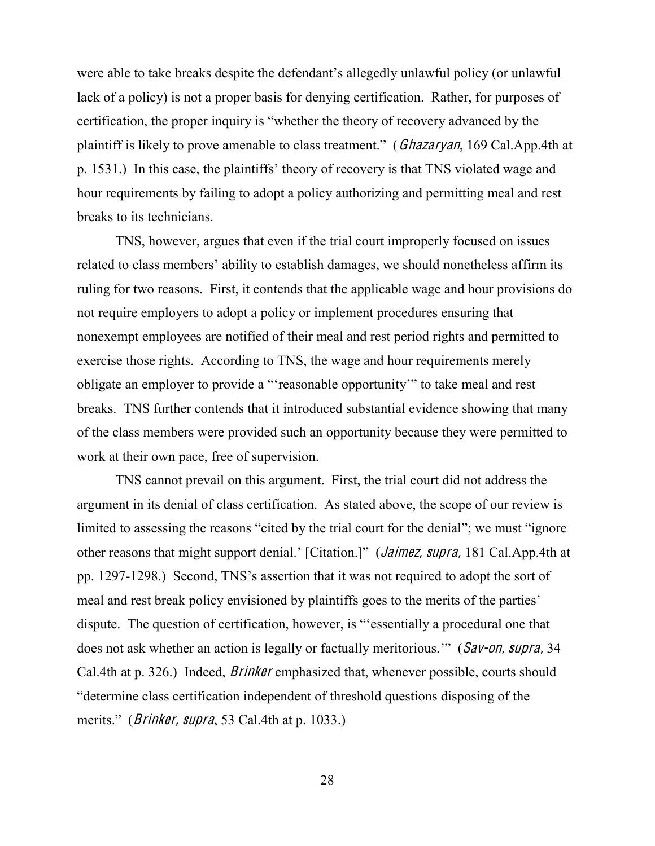were able to take breaks despite the defendant's allegedly unlawful policy (or unlawful lack of a policy) is not a proper basis for denying certification. Rather, for purposes of certification, the proper inquiry is "whether the theory of recovery advanced by the plaintiff is likely to prove amenable to class treatment." (*Ghazaryan*, 169 Cal.App.4th at p. 1531.) In this case, the plaintiffs' theory of recovery is that TNS violated wage and hour requirements by failing to adopt a policy authorizing and permitting meal and rest breaks to its technicians.

TNS, however, argues that even if the trial court improperly focused on issues related to class members' ability to establish damages, we should nonetheless affirm its ruling for two reasons. First, it contends that the applicable wage and hour provisions do not require employers to adopt a policy or implement procedures ensuring that nonexempt employees are notified of their meal and rest period rights and permitted to exercise those rights. According to TNS, the wage and hour requirements merely obligate an employer to provide a "reasonable opportunity" to take meal and rest breaks. TNS further contends that it introduced substantial evidence showing that many of the class members were provided such an opportunity because they were permitted to work at their own pace, free of supervision.

TNS cannot prevail on this argument. First, the trial court did not address the argument in its denial of class certification. As stated above, the scope of our review is limited to assessing the reasons "cited by the trial court for the denial"; we must "ignore" other reasons that might support denial.' [Citation.]" (*Jaimez, supra*, 181 Cal.App.4th at pp.  $1297-1298$ .) Second, TNS's assertion that it was not required to adopt the sort of meal and rest break policy envisioned by plaintiffs goes to the merits of the parties' dispute. The question of certification, however, is "essentially a procedural one that does not ask whether an action is legally or factually meritorious." (Sav-on, supra, 34) Cal.4th at p. 326.) Indeed, Brinke<sup>r</sup> emphasized that, whenever possible, courts should "determine class certification independent of threshold questions disposing of the merits." (*Brinker, supra*, 53 Cal.4th at p. 1033.)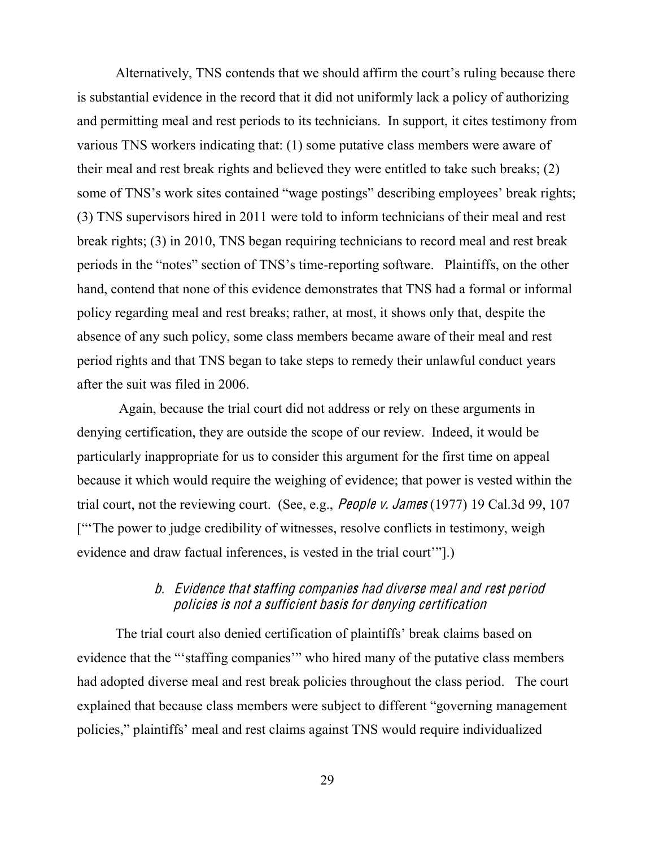Alternatively, TNS contends that we should affirm the court's ruling because there is substantial evidence in the record that it did not uniformly lack a policy of authorizing and permitting meal and rest periods to its technicians. In support, it cites testimony from various TNS workers indicating that: (1) some putative class members were aware of their meal and rest break rights and believed they were entitled to take such breaks; (2) some of TNS's work sites contained "wage postings" describing employees' break rights; (3) TNS supervisors hired in 2011 were told to inform technicians of their meal and rest break rights; (3) in 2010, TNS began requiring technicians to record meal and rest break periods in the "notes" section of TNS's time-reporting software. Plaintiffs, on the other hand, contend that none of this evidence demonstrates that TNS had a formal or informal policy regarding meal and rest breaks; rather, at most, it shows only that, despite the absence of any such policy, some class members became aware of their meal and rest period rights and that TNS began to take steps to remedy their unlawful conduct years after the suit was filed in 2006.

Again, because the trial court did not address or rely on these arguments in denying certification, they are outside the scope of our review. Indeed, it would be particularly inappropriate for us to consider this argument for the first time on appeal because it which would require the weighing of evidence; that power is vested within the trial court, not the reviewing court. (See, e.g., People v. James (1977) 19 Cal.3d 99, 107 ["The power to judge credibility of witnesses, resolve conflicts in testimony, weigh evidence and draw factual inferences, is vested in the trial court'''.)

# b. Evidence that staffing <sup>c</sup>ompanie<sup>s</sup> had divers<sup>e</sup> <sup>m</sup>eal and <sup>r</sup>est period policie<sup>s</sup> i<sup>s</sup> not <sup>a</sup> <sup>s</sup>ufficient basi<sup>s</sup> for denying certification

The trial court also denied certification of plaintiffs' break claims based on evidence that the "staffing companies" who hired many of the putative class members had adopted diverse meal and rest break policies throughout the class period. The court explained that because class members were subject to different "governing management" policies," plaintiffs' meal and rest claims against TNS would require individualized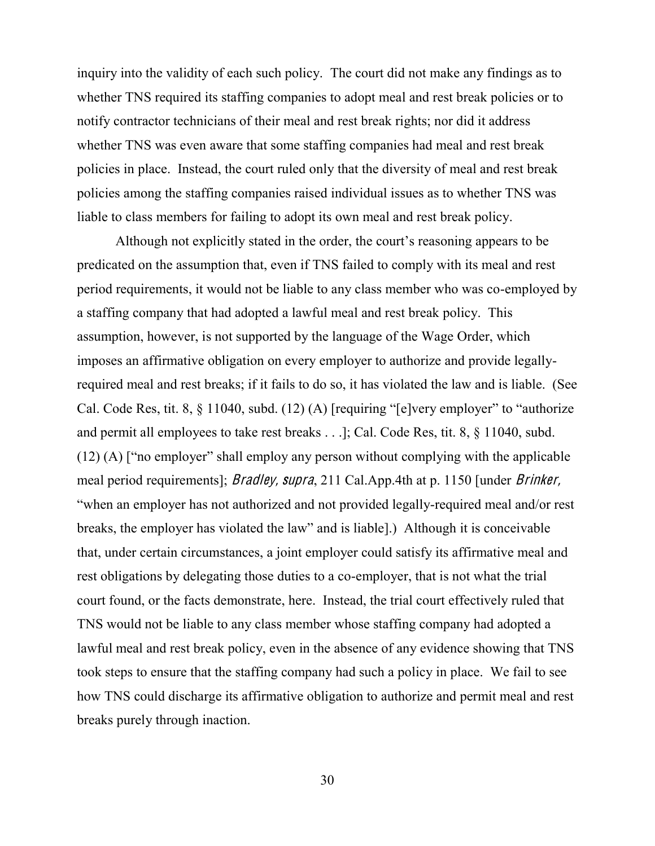inquiry into the validity of each such policy. The court did not make any findings as to whether TNS required its staffing companies to adopt meal and rest break policies or to notify contractor technicians of their meal and rest break rights; nor did it address whether TNS was even aware that some staffing companies had meal and rest break policies in place. Instead, the court ruled only that the diversity of meal and rest break policies among the staffing companies raised individual issues as to whether TNS was liable to class members for failing to adopt its own meal and rest break policy.

Although not explicitly stated in the order, the court's reasoning appears to be predicated on the assumption that, even if TNS failed to comply with its meal and rest period requirements, it would not be liable to any class member who was co-employed by a staffing company that had adopted a lawful meal and rest break policy. This assumption, however, is not supported by the language of the Wage Order, which imposes an affirmative obligation on every employer to authorize and provide legallyrequired meal and rest breaks; if it fails to do so, it has violated the law and is liable. (See Cal. Code Res, tit. 8,  $\S$  11040, subd. (12) (A) [requiring "[e]very employer" to "authorize" and permit all employees to take rest breaks . . .]; Cal. Code Res, tit. 8, § 11040, subd.  $(12)$  (A) ["no employer" shall employ any person without complying with the applicable meal period requirements]; *Bradley, supra*, 211 Cal.App.4th at p. 1150 [under *Brinker*, "when an employer has not authorized and not provided legally-required meal and/or rest breaks, the employer has violated the law" and is liable].) Although it is conceivable that, under certain circumstances, a joint employer could satisfy its affirmative meal and rest obligations by delegating those duties to a co-employer, that is not what the trial court found, or the facts demonstrate, here. Instead, the trial court effectively ruled that TNS would not be liable to any class member whose staffing company had adopted a lawful meal and rest break policy, even in the absence of any evidence showing that TNS took steps to ensure that the staffing company had such a policy in place. We fail to see how TNS could discharge its affirmative obligation to authorize and permit meal and rest breaks purely through inaction.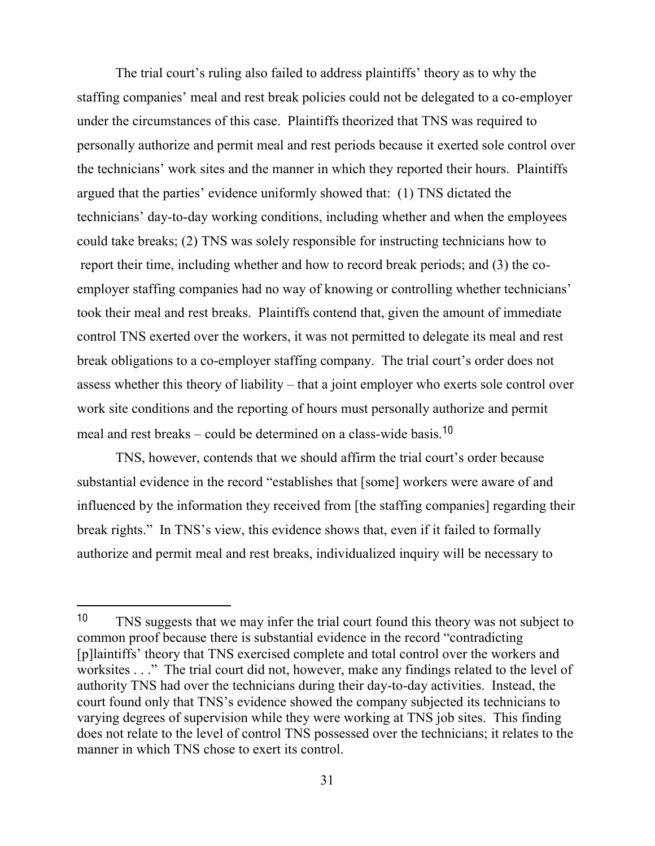The trial court's ruling also failed to address plaintiffs' theory as to why the staffing companies' meal and rest break policies could not be delegated to a co-employer under the circumstances of this case. Plaintiffs theorized that TNS was required to personally authorize and permit meal and rest periods because it exerted sole control over the technicians' work sites and the manner in which they reported their hours. Plaintiffs argued that the parties' evidence uniformly showed that: (1) TNS dictated the technicians' day-to-day working conditions, including whether and when the employees could take breaks; (2) TNS was solely responsible for instructing technicians how to report their time, including whether and how to record break periods; and (3) the coemployer staffing companies had no way of knowing or controlling whether technicians' took their meal and rest breaks. Plaintiffs contend that, given the amount of immediate control TNS exerted over the workers, it was not permitted to delegate its meal and rest break obligations to a co-employer staffing company. The trial court's order does not assess whether this theory of liability  $-$  that a joint employer who exerts sole control over work site conditions and the reporting of hours must personally authorize and permit meal and rest breaks  $-$  could be determined on a class-wide basis.<sup>10</sup>

TNS, however, contends that we should affirm the trial court's order because substantial evidence in the record "establishes that [some] workers were aware of and influenced by the information they received from [the staffing companies] regarding their break rights." In TNS's view, this evidence shows that, even if it failed to formally authorize and permit meal and rest breaks, individualized inquiry will be necessary to

<sup>10</sup> TNS suggests that we may infer the trial court found this theory was not subject to common proof because there is substantial evidence in the record "contradicting" [p]laintiffs' theory that TNS exercised complete and total control over the workers and worksites . . ." The trial court did not, however, make any findings related to the level of authority TNS had over the technicians during their day-to-day activities. Instead, the court found only that TNS's evidence showed the company subjected its technicians to varying degrees of supervision while they were working at TNS job sites. This finding does not relate to the level of control TNS possessed over the technicians; it relates to the manner in which TNS chose to exert its control.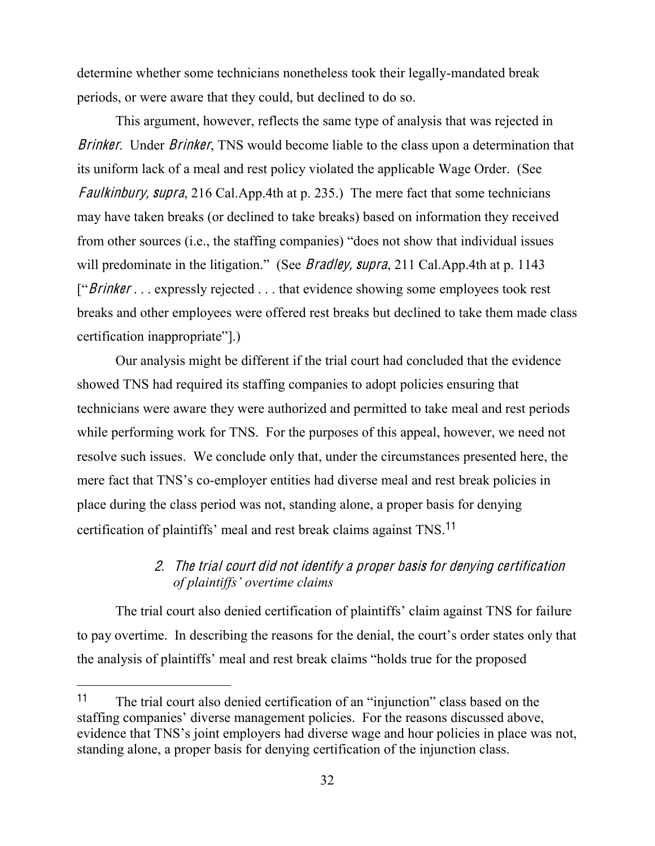determine whether some technicians nonetheless took their legally-mandated break periods, or were aware that they could, but declined to do so.

This argument, however, reflects the same type of analysis that was rejected in Brinker. Under Brinker, TNS would become liable to the class upon a determination that its uniform lack of a meal and rest policy violated the applicable Wage Order. (See Faulkinbury, supra, 216 Cal.App.4th at p. 235.) The mere fact that some technicians may have taken breaks (or declined to take breaks) based on information they received from other sources (i.e., the staffing companies) "does not show that individual issues will predominate in the litigation." (See *Bradley, supra*, 211 Cal.App.4th at p. 1143  $\lceil$ "Brinker . . . expressly rejected . . . that evidence showing some employees took rest breaks and other employees were offered rest breaks but declined to take them made class  $c$ ertification inappropriate".)

Our analysis might be different if the trial court had concluded that the evidence showed TNS had required its staffing companies to adopt policies ensuring that technicians were aware they were authorized and permitted to take meal and rest periods while performing work for TNS. For the purposes of this appeal, however, we need not resolve such issues. We conclude only that, under the circumstances presented here, the mere fact that TNS's co-employer entities had diverse meal and rest break policies in place during the class period was not, standing alone, a proper basis for denying certification of plaintiffs' meal and rest break claims against TNS.<sup>11</sup>

# 2. Th<sup>e</sup> trial <sup>c</sup>ourt did not identify <sup>a</sup> prope<sup>r</sup> basi<sup>s</sup> for denying certification *of plaintiffs' overtime claims*

The trial court also denied certification of plaintiffs' claim against TNS for failure to pay overtime. In describing the reasons for the denial, the court's order states only that the analysis of plaintiffs' meal and rest break claims "holds true for the proposed

<sup>11</sup> The trial court also denied certification of an "injunction" class based on the staffing companies' diverse management policies. For the reasons discussed above, evidence that TNS's joint employers had diverse wage and hour policies in place was not, standing alone, a proper basis for denying certification of the injunction class.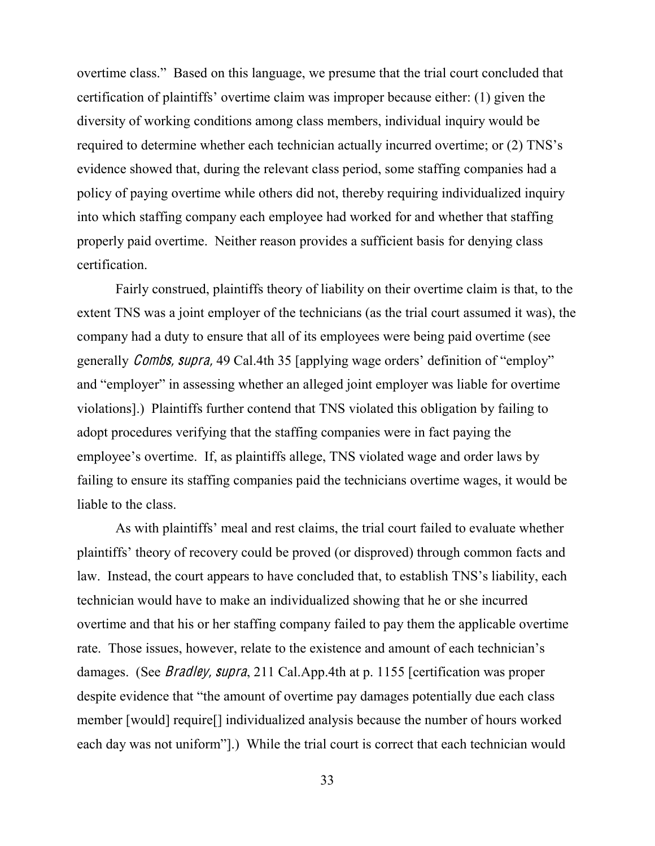overtime class." Based on this language, we presume that the trial court concluded that certification of plaintiffs' overtime claim was improper because either: (1) given the diversity of working conditions among class members, individual inquiry would be required to determine whether each technician actually incurred overtime; or (2) TNS's evidence showed that, during the relevant class period, some staffing companies had a policy of paying overtime while others did not, thereby requiring individualized inquiry into which staffing company each employee had worked for and whether that staffing properly paid overtime. Neither reason provides a sufficient basis for denying class certification.

Fairly construed, plaintiffs theory of liability on their overtime claim is that, to the extent TNS was a joint employer of the technicians (as the trial court assumed it was), the company had a duty to ensure that all of its employees were being paid overtime (see generally *Combs, supra,* 49 Cal.4th 35 [applying wage orders' definition of "employ" and "employer" in assessing whether an alleged joint employer was liable for overtime violations].) Plaintiffs further contend that TNS violated this obligation by failing to adopt procedures verifying that the staffing companies were in fact paying the employee's overtime. If, as plaintiffs allege, TNS violated wage and order laws by failing to ensure its staffing companies paid the technicians overtime wages, it would be liable to the class.

As with plaintiffs' meal and rest claims, the trial court failed to evaluate whether plaintiffs' theory of recovery could be proved (or disproved) through common facts and law. Instead, the court appears to have concluded that, to establish TNS's liability, each technician would have to make an individualized showing that he or she incurred overtime and that his or her staffing company failed to pay them the applicable overtime rate. Those issues, however, relate to the existence and amount of each technician's damages. (See Bradley, <sup>s</sup>upra, 211 Cal.App.4th at p. 1155 [certification was proper despite evidence that "the amount of overtime pay damages potentially due each class member [would] require[] individualized analysis because the number of hours worked each day was not uniform"].) While the trial court is correct that each technician would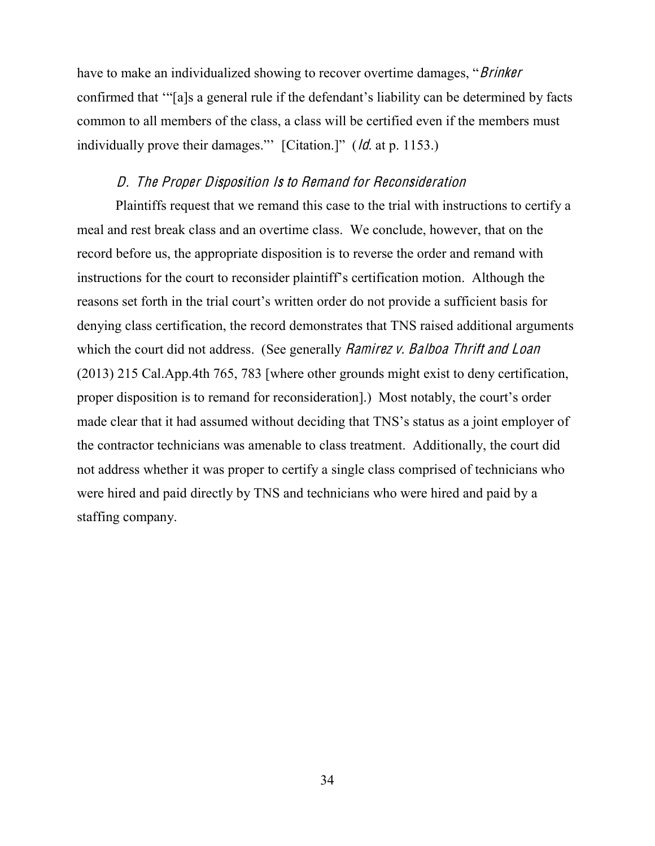have to make an individualized showing to recover overtime damages, "*Brinker* confirmed that "Salsa general rule if the defendant's liability can be determined by facts common to all members of the class, a class will be certified even if the members must individually prove their damages." [Citation.]"  $(dd \text{ at } p. 1153.)$ 

### D. Th<sup>e</sup> Prop<sup>e</sup><sup>r</sup> Disposition I<sup>s</sup> t<sup>o</sup> Remand for Reconsideration

Plaintiffs request that we remand this case to the trial with instructions to certify a meal and rest break class and an overtime class. We conclude, however, that on the record before us, the appropriate disposition is to reverse the order and remand with instructions for the court to reconsider plaintiff's certification motion. Although the reasons set forth in the trial court's written order do not provide a sufficient basis for denying class certification, the record demonstrates that TNS raised additional arguments which the court did not address. (See generally *Ramirez v. Balboa Thrift and Loan* (2013) 215 Cal.App.4th 765, 783 [where other grounds might exist to deny certification, proper disposition is to remand for reconsideration.) Most notably, the court's order made clear that it had assumed without deciding that TNS's status as a joint employer of the contractor technicians was amenable to class treatment. Additionally, the court did not address whether it was proper to certify a single class comprised of technicians who were hired and paid directly by TNS and technicians who were hired and paid by a staffing company.